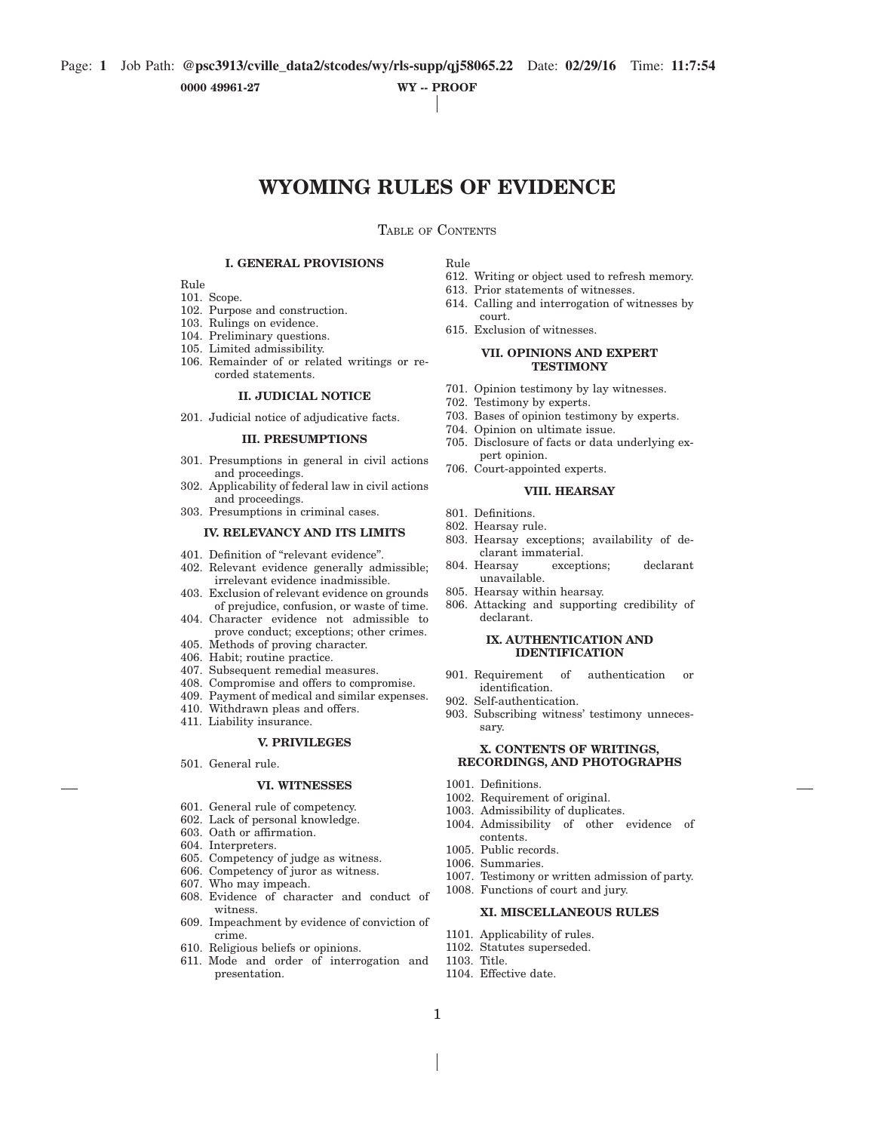# **WYOMING RULES OF EVIDENCE**

TABLE OF CONTENTS

#### **I. GENERAL PROVISIONS**

Rule

- 101. Scope.
- 102. Purpose and construction.
- 103. Rulings on evidence.
- 104. Preliminary questions.
- 105. Limited admissibility.
- 106. Remainder of or related writings or recorded statements.

#### **II. JUDICIAL NOTICE**

201. Judicial notice of adjudicative facts.

#### **III. PRESUMPTIONS**

- 301. Presumptions in general in civil actions and proceedings.
- 302. Applicability of federal law in civil actions and proceedings.
- 303. Presumptions in criminal cases.

#### **IV. RELEVANCY AND ITS LIMITS**

- 401. Definition of ''relevant evidence''.
- 402. Relevant evidence generally admissible; irrelevant evidence inadmissible.
- 403. Exclusion of relevant evidence on grounds of prejudice, confusion, or waste of time.
- 404. Character evidence not admissible to prove conduct; exceptions; other crimes.
- 405. Methods of proving character.
- 406. Habit; routine practice.
- 407. Subsequent remedial measures.
- 408. Compromise and offers to compromise.
- 409. Payment of medical and similar expenses.
- 410. Withdrawn pleas and offers.
- 411. Liability insurance.
	- **V. PRIVILEGES**
- 501. General rule.

#### **VI. WITNESSES**

- 601. General rule of competency.
- 602. Lack of personal knowledge.
- 603. Oath or affirmation.
- 604. Interpreters.
- 605. Competency of judge as witness.
- 606. Competency of juror as witness.
- 607. Who may impeach.
- 608. Evidence of character and conduct of witness.
- 609. Impeachment by evidence of conviction of crime.
- 610. Religious beliefs or opinions.
- 611. Mode and order of interrogation and presentation.
- Rule
- 612. Writing or object used to refresh memory.
- 613. Prior statements of witnesses.
- 614. Calling and interrogation of witnesses by court.
- 615. Exclusion of witnesses.

#### **VII. OPINIONS AND EXPERT TESTIMONY**

- 701. Opinion testimony by lay witnesses.
- 702. Testimony by experts.
- 703. Bases of opinion testimony by experts.
- 704. Opinion on ultimate issue.
- 705. Disclosure of facts or data underlying expert opinion.
- 706. Court-appointed experts.

#### **VIII. HEARSAY**

- 801. Definitions.
- 802. Hearsay rule.
- 803. Hearsay exceptions; availability of declarant immaterial.
- 804. Hearsay exceptions; declarant unavailable.
- 805. Hearsay within hearsay.
- 806. Attacking and supporting credibility of declarant.

#### **IX. AUTHENTICATION AND IDENTIFICATION**

- 901. Requirement of authentication or identification.
- 902. Self-authentication.
- 903. Subscribing witness' testimony unnecessary.

#### **X. CONTENTS OF WRITINGS, RECORDINGS, AND PHOTOGRAPHS**

- 1001. Definitions.
- 1002. Requirement of original.
- 1003. Admissibility of duplicates.
- 1004. Admissibility of other evidence of contents.
- 1005. Public records.
- 1006. Summaries.
- 1007. Testimony or written admission of party.
- 1008. Functions of court and jury.

#### **XI. MISCELLANEOUS RULES**

- 1101. Applicability of rules.
- 1102. Statutes superseded.
- 1103. Title.
- 1104. Effective date.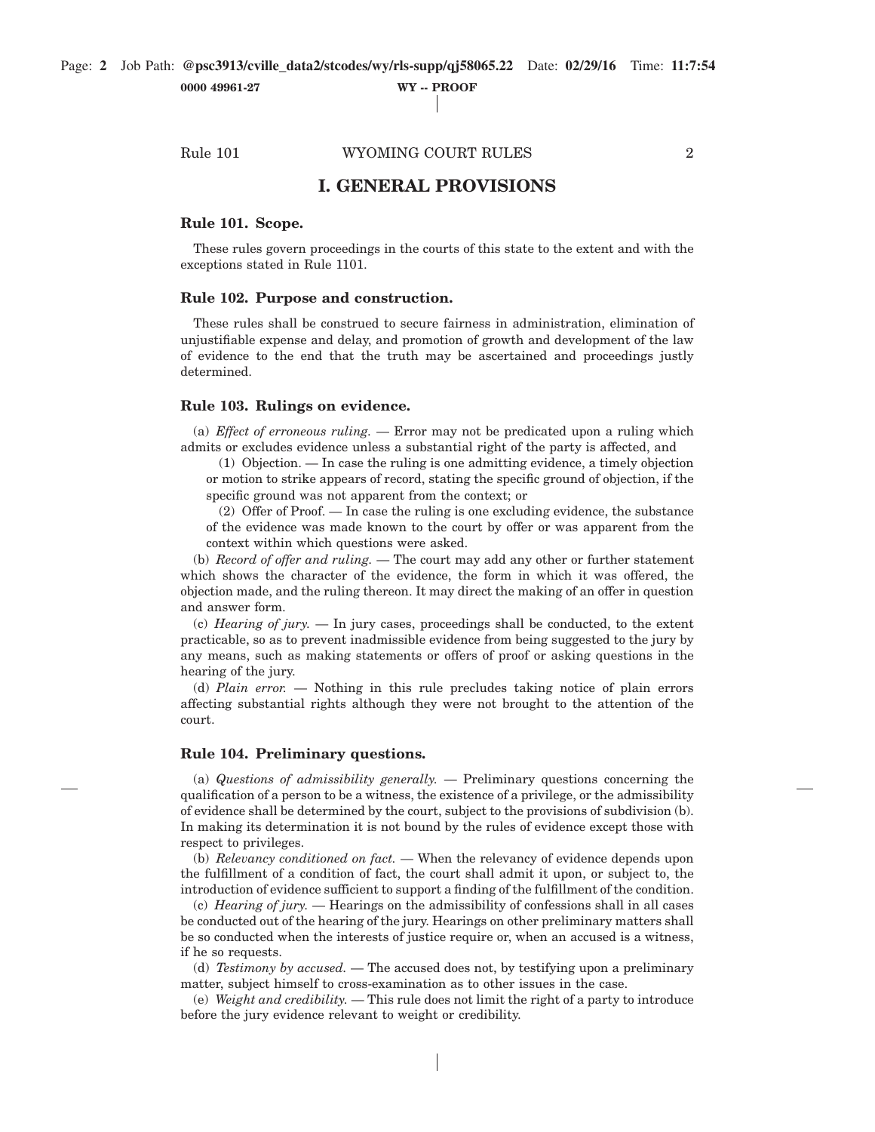Rule 101 WYOMING COURT RULES 2

# **I. GENERAL PROVISIONS**

## **Rule 101. Scope.**

These rules govern proceedings in the courts of this state to the extent and with the exceptions stated in Rule 1101.

## **Rule 102. Purpose and construction.**

These rules shall be construed to secure fairness in administration, elimination of unjustifiable expense and delay, and promotion of growth and development of the law of evidence to the end that the truth may be ascertained and proceedings justly determined.

#### **Rule 103. Rulings on evidence.**

(a) *Effect of erroneous ruling.* — Error may not be predicated upon a ruling which admits or excludes evidence unless a substantial right of the party is affected, and

(1) Objection. — In case the ruling is one admitting evidence, a timely objection or motion to strike appears of record, stating the specific ground of objection, if the specific ground was not apparent from the context; or

(2) Offer of Proof. — In case the ruling is one excluding evidence, the substance of the evidence was made known to the court by offer or was apparent from the context within which questions were asked.

(b) *Record of offer and ruling.* — The court may add any other or further statement which shows the character of the evidence, the form in which it was offered, the objection made, and the ruling thereon. It may direct the making of an offer in question and answer form.

(c) *Hearing of jury.* — In jury cases, proceedings shall be conducted, to the extent practicable, so as to prevent inadmissible evidence from being suggested to the jury by any means, such as making statements or offers of proof or asking questions in the hearing of the jury.

(d) *Plain error.* — Nothing in this rule precludes taking notice of plain errors affecting substantial rights although they were not brought to the attention of the court.

#### **Rule 104. Preliminary questions.**

(a) *Questions of admissibility generally.* — Preliminary questions concerning the qualification of a person to be a witness, the existence of a privilege, or the admissibility of evidence shall be determined by the court, subject to the provisions of subdivision (b). In making its determination it is not bound by the rules of evidence except those with respect to privileges.

(b) *Relevancy conditioned on fact.* — When the relevancy of evidence depends upon the fulfillment of a condition of fact, the court shall admit it upon, or subject to, the introduction of evidence sufficient to support a finding of the fulfillment of the condition.

(c) *Hearing of jury.* — Hearings on the admissibility of confessions shall in all cases be conducted out of the hearing of the jury. Hearings on other preliminary matters shall be so conducted when the interests of justice require or, when an accused is a witness, if he so requests.

(d) *Testimony by accused.* — The accused does not, by testifying upon a preliminary matter, subject himself to cross-examination as to other issues in the case.

(e) *Weight and credibility.* — This rule does not limit the right of a party to introduce before the jury evidence relevant to weight or credibility.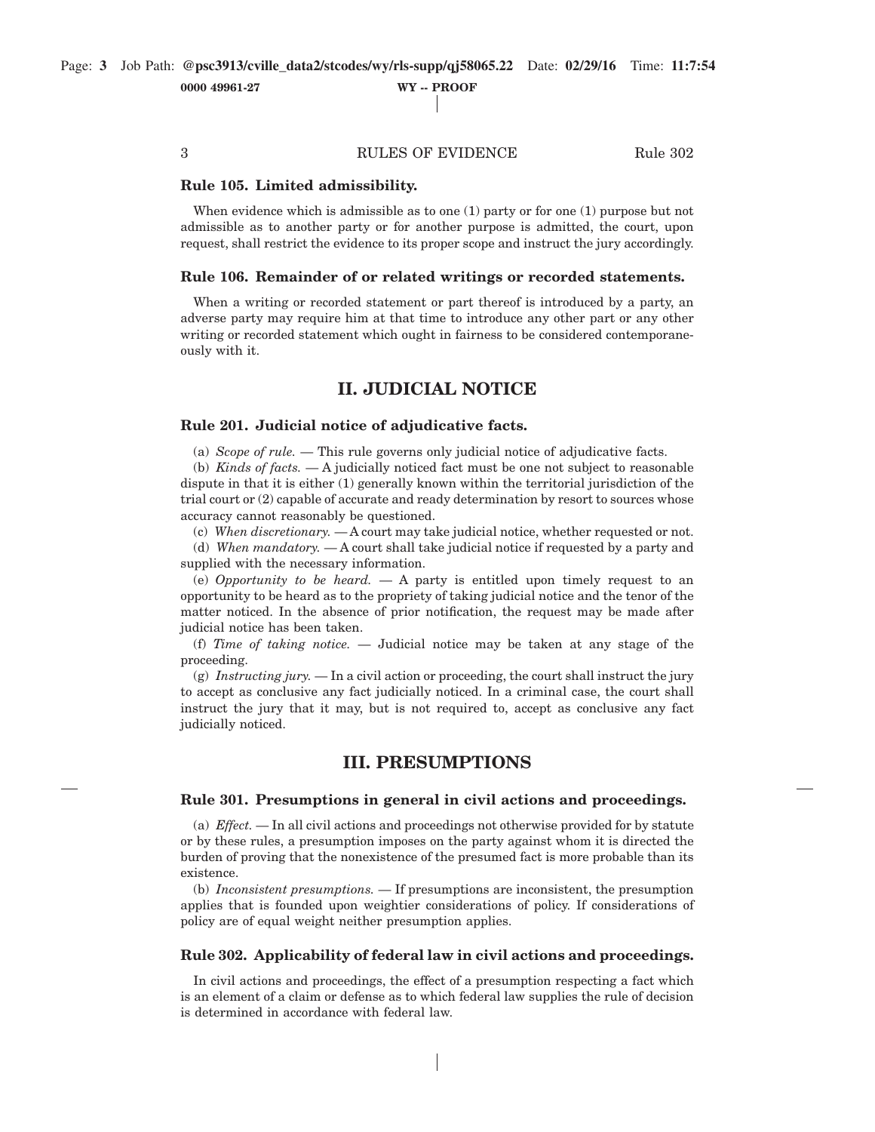#### **Rule 105. Limited admissibility.**

When evidence which is admissible as to one (1) party or for one (1) purpose but not admissible as to another party or for another purpose is admitted, the court, upon request, shall restrict the evidence to its proper scope and instruct the jury accordingly.

#### **Rule 106. Remainder of or related writings or recorded statements.**

When a writing or recorded statement or part thereof is introduced by a party, an adverse party may require him at that time to introduce any other part or any other writing or recorded statement which ought in fairness to be considered contemporaneously with it.

# **II. JUDICIAL NOTICE**

#### **Rule 201. Judicial notice of adjudicative facts.**

(a) *Scope of rule.* — This rule governs only judicial notice of adjudicative facts.

(b) *Kinds of facts.* — A judicially noticed fact must be one not subject to reasonable dispute in that it is either (1) generally known within the territorial jurisdiction of the trial court or (2) capable of accurate and ready determination by resort to sources whose accuracy cannot reasonably be questioned.

(c) *When discretionary.* — A court may take judicial notice, whether requested or not.

(d) *When mandatory.* — A court shall take judicial notice if requested by a party and supplied with the necessary information.

(e) *Opportunity to be heard.* — A party is entitled upon timely request to an opportunity to be heard as to the propriety of taking judicial notice and the tenor of the matter noticed. In the absence of prior notification, the request may be made after judicial notice has been taken.

(f) *Time of taking notice.* — Judicial notice may be taken at any stage of the proceeding.

(g) *Instructing jury.* — In a civil action or proceeding, the court shall instruct the jury to accept as conclusive any fact judicially noticed. In a criminal case, the court shall instruct the jury that it may, but is not required to, accept as conclusive any fact judicially noticed.

# **III. PRESUMPTIONS**

## **Rule 301. Presumptions in general in civil actions and proceedings.**

(a) *Effect.* — In all civil actions and proceedings not otherwise provided for by statute or by these rules, a presumption imposes on the party against whom it is directed the burden of proving that the nonexistence of the presumed fact is more probable than its existence.

(b) *Inconsistent presumptions.* — If presumptions are inconsistent, the presumption applies that is founded upon weightier considerations of policy. If considerations of policy are of equal weight neither presumption applies.

#### **Rule 302. Applicability of federal law in civil actions and proceedings.**

In civil actions and proceedings, the effect of a presumption respecting a fact which is an element of a claim or defense as to which federal law supplies the rule of decision is determined in accordance with federal law.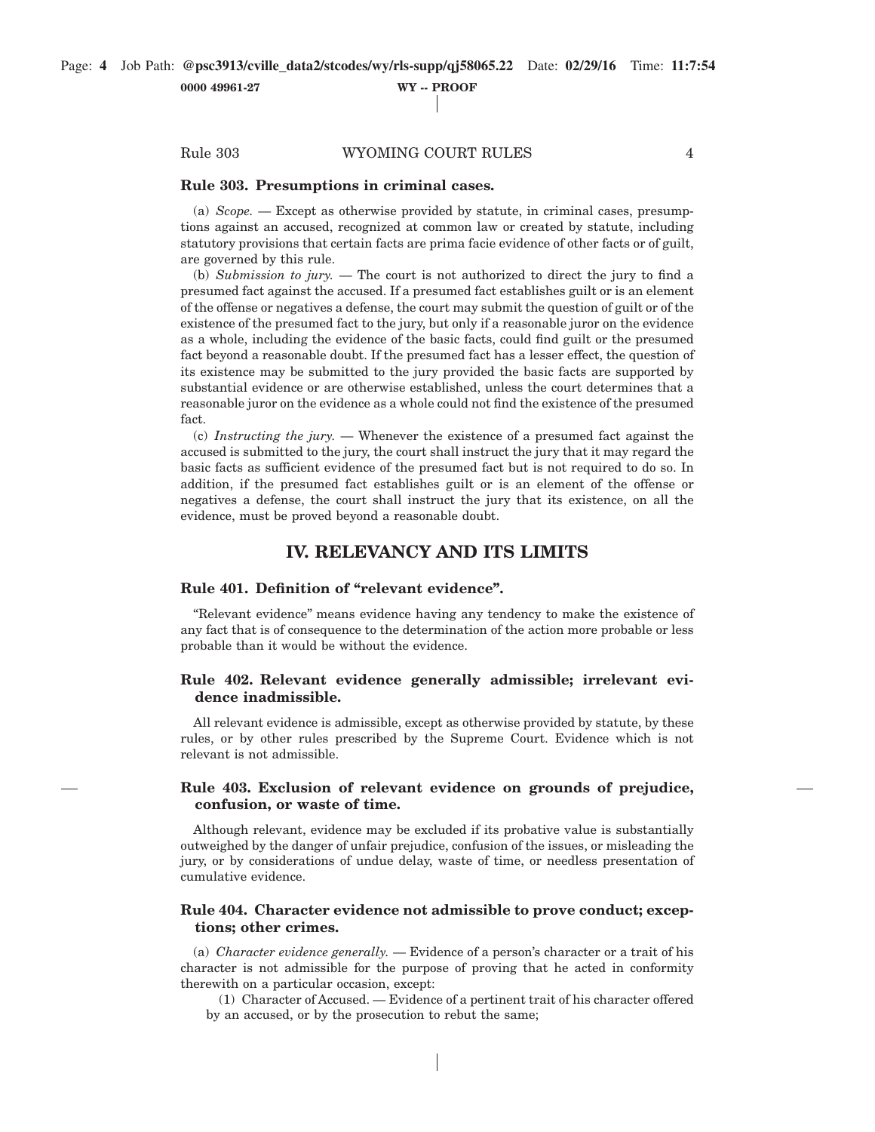#### Rule 303 WYOMING COURT RULES 4

# **Rule 303. Presumptions in criminal cases.**

(a) *Scope.* — Except as otherwise provided by statute, in criminal cases, presumptions against an accused, recognized at common law or created by statute, including statutory provisions that certain facts are prima facie evidence of other facts or of guilt, are governed by this rule.

(b) *Submission to jury.* — The court is not authorized to direct the jury to find a presumed fact against the accused. If a presumed fact establishes guilt or is an element of the offense or negatives a defense, the court may submit the question of guilt or of the existence of the presumed fact to the jury, but only if a reasonable juror on the evidence as a whole, including the evidence of the basic facts, could find guilt or the presumed fact beyond a reasonable doubt. If the presumed fact has a lesser effect, the question of its existence may be submitted to the jury provided the basic facts are supported by substantial evidence or are otherwise established, unless the court determines that a reasonable juror on the evidence as a whole could not find the existence of the presumed fact.

(c) *Instructing the jury.* — Whenever the existence of a presumed fact against the accused is submitted to the jury, the court shall instruct the jury that it may regard the basic facts as sufficient evidence of the presumed fact but is not required to do so. In addition, if the presumed fact establishes guilt or is an element of the offense or negatives a defense, the court shall instruct the jury that its existence, on all the evidence, must be proved beyond a reasonable doubt.

# **IV. RELEVANCY AND ITS LIMITS**

## **Rule 401. Definition of ''relevant evidence''.**

''Relevant evidence'' means evidence having any tendency to make the existence of any fact that is of consequence to the determination of the action more probable or less probable than it would be without the evidence.

# **Rule 402. Relevant evidence generally admissible; irrelevant evidence inadmissible.**

All relevant evidence is admissible, except as otherwise provided by statute, by these rules, or by other rules prescribed by the Supreme Court. Evidence which is not relevant is not admissible.

## **Rule 403. Exclusion of relevant evidence on grounds of prejudice, confusion, or waste of time.**

Although relevant, evidence may be excluded if its probative value is substantially outweighed by the danger of unfair prejudice, confusion of the issues, or misleading the jury, or by considerations of undue delay, waste of time, or needless presentation of cumulative evidence.

# **Rule 404. Character evidence not admissible to prove conduct; exceptions; other crimes.**

(a) *Character evidence generally.* — Evidence of a person's character or a trait of his character is not admissible for the purpose of proving that he acted in conformity therewith on a particular occasion, except:

(1) Character of Accused. — Evidence of a pertinent trait of his character offered by an accused, or by the prosecution to rebut the same;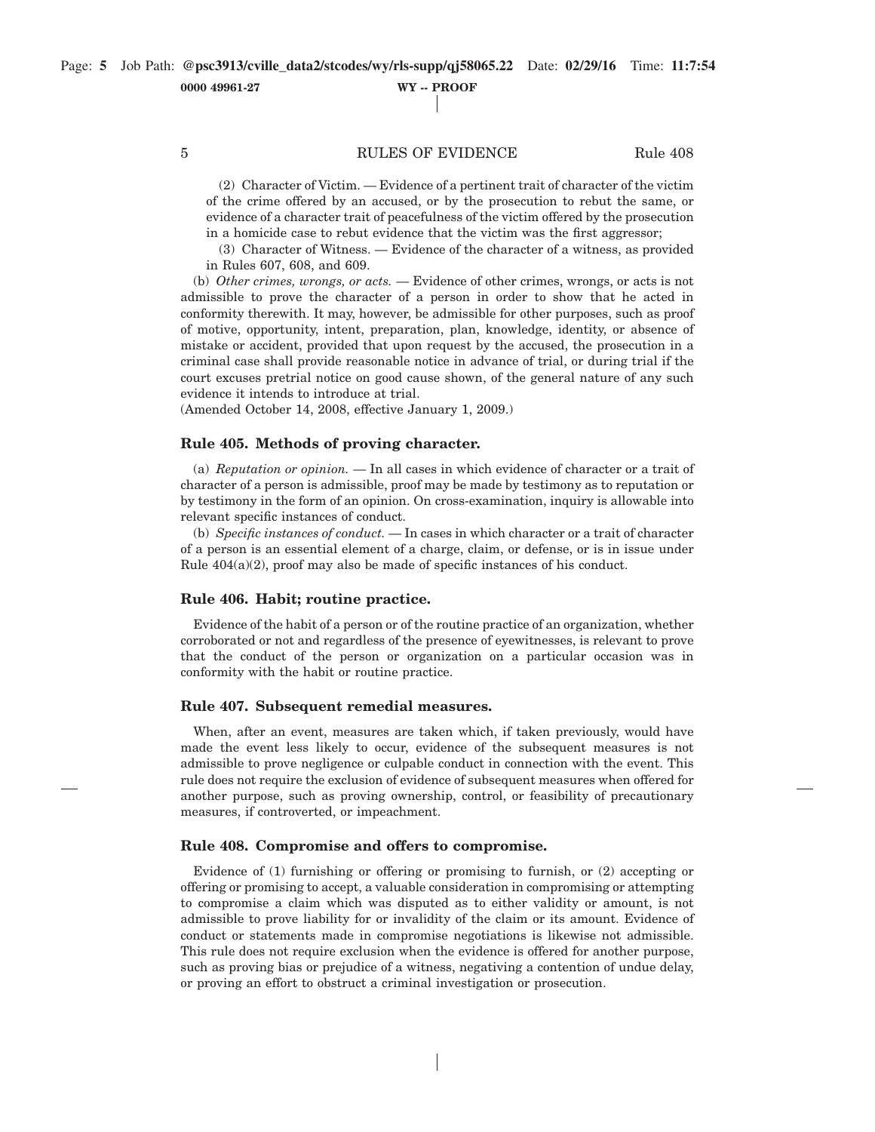(2) Character of Victim. — Evidence of a pertinent trait of character of the victim of the crime offered by an accused, or by the prosecution to rebut the same, or evidence of a character trait of peacefulness of the victim offered by the prosecution in a homicide case to rebut evidence that the victim was the first aggressor;

(3) Character of Witness. — Evidence of the character of a witness, as provided in Rules 607, 608, and 609.

(b) *Other crimes, wrongs, or acts.* — Evidence of other crimes, wrongs, or acts is not admissible to prove the character of a person in order to show that he acted in conformity therewith. It may, however, be admissible for other purposes, such as proof of motive, opportunity, intent, preparation, plan, knowledge, identity, or absence of mistake or accident, provided that upon request by the accused, the prosecution in a criminal case shall provide reasonable notice in advance of trial, or during trial if the court excuses pretrial notice on good cause shown, of the general nature of any such evidence it intends to introduce at trial.

(Amended October 14, 2008, effective January 1, 2009.)

#### **Rule 405. Methods of proving character.**

(a) *Reputation or opinion.* — In all cases in which evidence of character or a trait of character of a person is admissible, proof may be made by testimony as to reputation or by testimony in the form of an opinion. On cross-examination, inquiry is allowable into relevant specific instances of conduct.

(b) *Specific instances of conduct.* — In cases in which character or a trait of character of a person is an essential element of a charge, claim, or defense, or is in issue under Rule 404(a)(2), proof may also be made of specific instances of his conduct.

#### **Rule 406. Habit; routine practice.**

Evidence of the habit of a person or of the routine practice of an organization, whether corroborated or not and regardless of the presence of eyewitnesses, is relevant to prove that the conduct of the person or organization on a particular occasion was in conformity with the habit or routine practice.

#### **Rule 407. Subsequent remedial measures.**

When, after an event, measures are taken which, if taken previously, would have made the event less likely to occur, evidence of the subsequent measures is not admissible to prove negligence or culpable conduct in connection with the event. This rule does not require the exclusion of evidence of subsequent measures when offered for another purpose, such as proving ownership, control, or feasibility of precautionary measures, if controverted, or impeachment.

#### **Rule 408. Compromise and offers to compromise.**

Evidence of (1) furnishing or offering or promising to furnish, or (2) accepting or offering or promising to accept, a valuable consideration in compromising or attempting to compromise a claim which was disputed as to either validity or amount, is not admissible to prove liability for or invalidity of the claim or its amount. Evidence of conduct or statements made in compromise negotiations is likewise not admissible. This rule does not require exclusion when the evidence is offered for another purpose, such as proving bias or prejudice of a witness, negativing a contention of undue delay, or proving an effort to obstruct a criminal investigation or prosecution.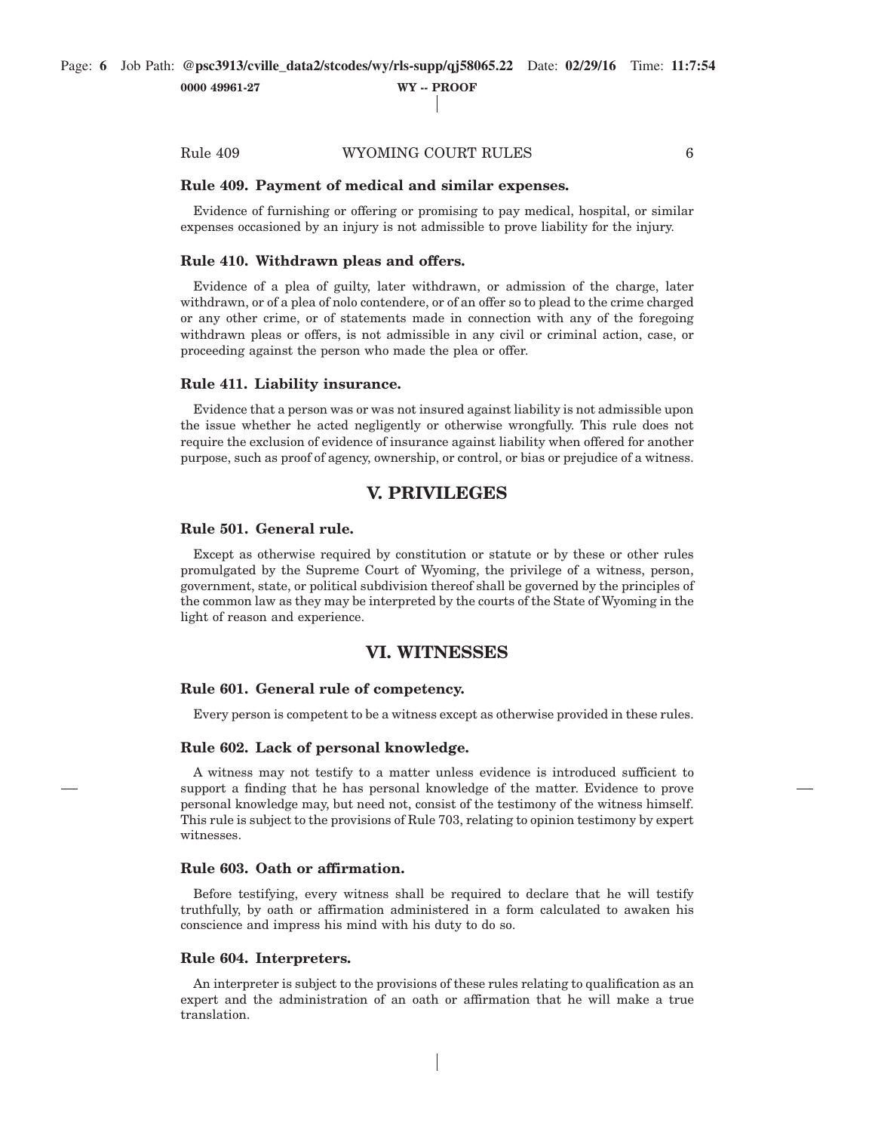#### Rule 409 WYOMING COURT RULES 6

## **Rule 409. Payment of medical and similar expenses.**

Evidence of furnishing or offering or promising to pay medical, hospital, or similar expenses occasioned by an injury is not admissible to prove liability for the injury.

#### **Rule 410. Withdrawn pleas and offers.**

Evidence of a plea of guilty, later withdrawn, or admission of the charge, later withdrawn, or of a plea of nolo contendere, or of an offer so to plead to the crime charged or any other crime, or of statements made in connection with any of the foregoing withdrawn pleas or offers, is not admissible in any civil or criminal action, case, or proceeding against the person who made the plea or offer.

#### **Rule 411. Liability insurance.**

Evidence that a person was or was not insured against liability is not admissible upon the issue whether he acted negligently or otherwise wrongfully. This rule does not require the exclusion of evidence of insurance against liability when offered for another purpose, such as proof of agency, ownership, or control, or bias or prejudice of a witness.

# **V. PRIVILEGES**

## **Rule 501. General rule.**

Except as otherwise required by constitution or statute or by these or other rules promulgated by the Supreme Court of Wyoming, the privilege of a witness, person, government, state, or political subdivision thereof shall be governed by the principles of the common law as they may be interpreted by the courts of the State of Wyoming in the light of reason and experience.

# **VI. WITNESSES**

#### **Rule 601. General rule of competency.**

Every person is competent to be a witness except as otherwise provided in these rules.

#### **Rule 602. Lack of personal knowledge.**

A witness may not testify to a matter unless evidence is introduced sufficient to support a finding that he has personal knowledge of the matter. Evidence to prove personal knowledge may, but need not, consist of the testimony of the witness himself. This rule is subject to the provisions of Rule 703, relating to opinion testimony by expert witnesses.

#### **Rule 603. Oath or affirmation.**

Before testifying, every witness shall be required to declare that he will testify truthfully, by oath or affirmation administered in a form calculated to awaken his conscience and impress his mind with his duty to do so.

#### **Rule 604. Interpreters.**

An interpreter is subject to the provisions of these rules relating to qualification as an expert and the administration of an oath or affirmation that he will make a true translation.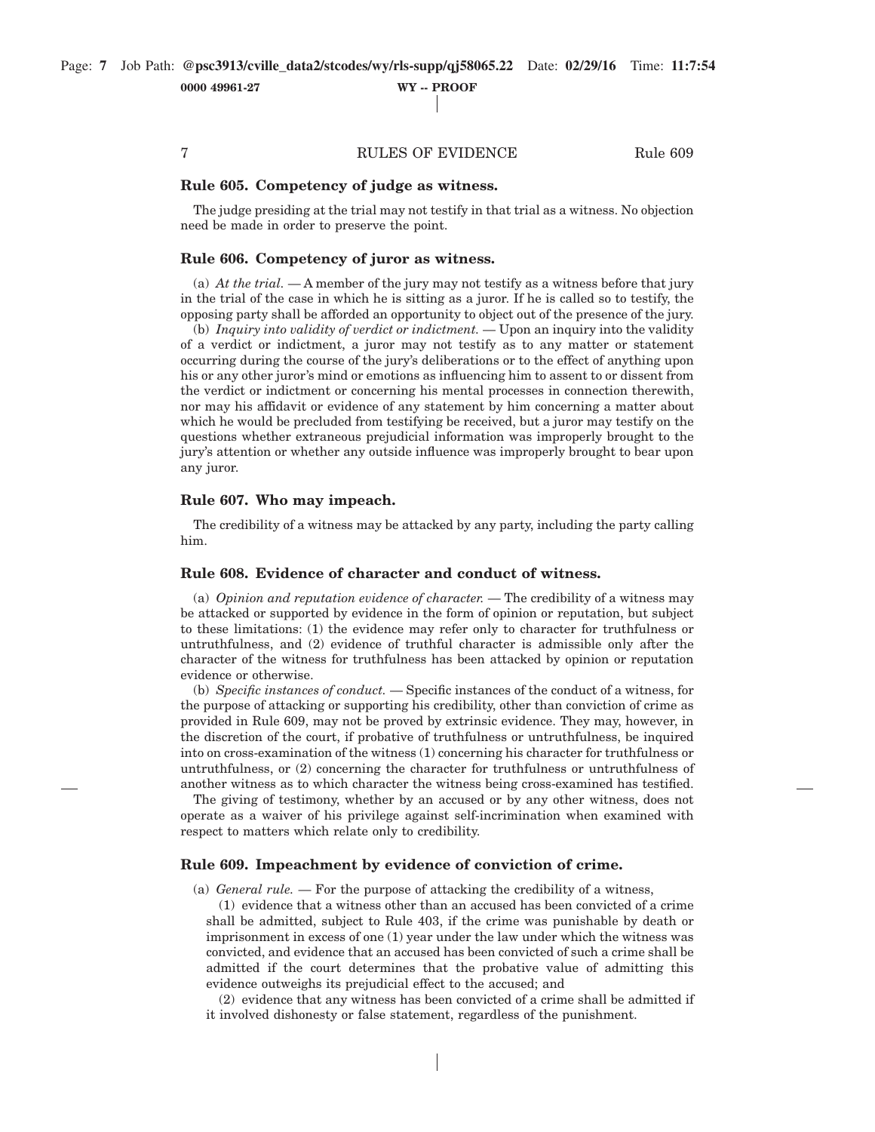#### **Rule 605. Competency of judge as witness.**

The judge presiding at the trial may not testify in that trial as a witness. No objection need be made in order to preserve the point.

#### **Rule 606. Competency of juror as witness.**

(a) *At the trial.* — A member of the jury may not testify as a witness before that jury in the trial of the case in which he is sitting as a juror. If he is called so to testify, the opposing party shall be afforded an opportunity to object out of the presence of the jury.

(b) *Inquiry into validity of verdict or indictment.* — Upon an inquiry into the validity of a verdict or indictment, a juror may not testify as to any matter or statement occurring during the course of the jury's deliberations or to the effect of anything upon his or any other juror's mind or emotions as influencing him to assent to or dissent from the verdict or indictment or concerning his mental processes in connection therewith, nor may his affidavit or evidence of any statement by him concerning a matter about which he would be precluded from testifying be received, but a juror may testify on the questions whether extraneous prejudicial information was improperly brought to the jury's attention or whether any outside influence was improperly brought to bear upon any juror.

#### **Rule 607. Who may impeach.**

The credibility of a witness may be attacked by any party, including the party calling him.

# **Rule 608. Evidence of character and conduct of witness.**

(a) *Opinion and reputation evidence of character.* — The credibility of a witness may be attacked or supported by evidence in the form of opinion or reputation, but subject to these limitations: (1) the evidence may refer only to character for truthfulness or untruthfulness, and (2) evidence of truthful character is admissible only after the character of the witness for truthfulness has been attacked by opinion or reputation evidence or otherwise.

(b) *Specific instances of conduct.* — Specific instances of the conduct of a witness, for the purpose of attacking or supporting his credibility, other than conviction of crime as provided in Rule 609, may not be proved by extrinsic evidence. They may, however, in the discretion of the court, if probative of truthfulness or untruthfulness, be inquired into on cross-examination of the witness (1) concerning his character for truthfulness or untruthfulness, or (2) concerning the character for truthfulness or untruthfulness of another witness as to which character the witness being cross-examined has testified.

The giving of testimony, whether by an accused or by any other witness, does not operate as a waiver of his privilege against self-incrimination when examined with respect to matters which relate only to credibility.

### **Rule 609. Impeachment by evidence of conviction of crime.**

(a) *General rule.* — For the purpose of attacking the credibility of a witness,

(1) evidence that a witness other than an accused has been convicted of a crime shall be admitted, subject to Rule 403, if the crime was punishable by death or imprisonment in excess of one (1) year under the law under which the witness was convicted, and evidence that an accused has been convicted of such a crime shall be admitted if the court determines that the probative value of admitting this evidence outweighs its prejudicial effect to the accused; and

(2) evidence that any witness has been convicted of a crime shall be admitted if it involved dishonesty or false statement, regardless of the punishment.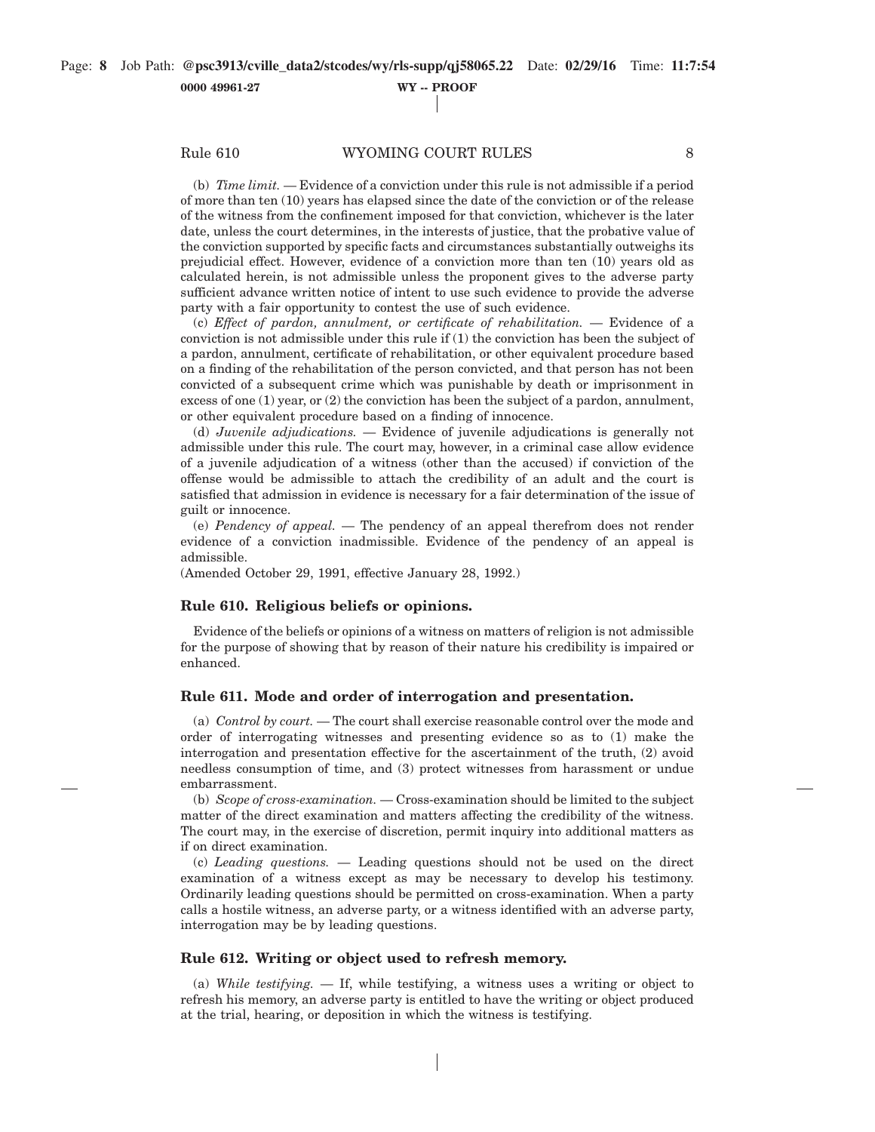#### Rule 610 WYOMING COURT RULES 8

(b) *Time limit.* — Evidence of a conviction under this rule is not admissible if a period of more than ten (10) years has elapsed since the date of the conviction or of the release of the witness from the confinement imposed for that conviction, whichever is the later date, unless the court determines, in the interests of justice, that the probative value of the conviction supported by specific facts and circumstances substantially outweighs its prejudicial effect. However, evidence of a conviction more than ten (10) years old as calculated herein, is not admissible unless the proponent gives to the adverse party sufficient advance written notice of intent to use such evidence to provide the adverse party with a fair opportunity to contest the use of such evidence.

(c) *Effect of pardon, annulment, or certificate of rehabilitation.* — Evidence of a conviction is not admissible under this rule if (1) the conviction has been the subject of a pardon, annulment, certificate of rehabilitation, or other equivalent procedure based on a finding of the rehabilitation of the person convicted, and that person has not been convicted of a subsequent crime which was punishable by death or imprisonment in excess of one (1) year, or (2) the conviction has been the subject of a pardon, annulment, or other equivalent procedure based on a finding of innocence.

(d) *Juvenile adjudications.* — Evidence of juvenile adjudications is generally not admissible under this rule. The court may, however, in a criminal case allow evidence of a juvenile adjudication of a witness (other than the accused) if conviction of the offense would be admissible to attach the credibility of an adult and the court is satisfied that admission in evidence is necessary for a fair determination of the issue of guilt or innocence.

(e) *Pendency of appeal.* — The pendency of an appeal therefrom does not render evidence of a conviction inadmissible. Evidence of the pendency of an appeal is admissible.

(Amended October 29, 1991, effective January 28, 1992.)

#### **Rule 610. Religious beliefs or opinions.**

Evidence of the beliefs or opinions of a witness on matters of religion is not admissible for the purpose of showing that by reason of their nature his credibility is impaired or enhanced.

#### **Rule 611. Mode and order of interrogation and presentation.**

(a) *Control by court.* — The court shall exercise reasonable control over the mode and order of interrogating witnesses and presenting evidence so as to (1) make the interrogation and presentation effective for the ascertainment of the truth, (2) avoid needless consumption of time, and (3) protect witnesses from harassment or undue embarrassment.

(b) *Scope of cross-examination.* — Cross-examination should be limited to the subject matter of the direct examination and matters affecting the credibility of the witness. The court may, in the exercise of discretion, permit inquiry into additional matters as if on direct examination.

(c) *Leading questions.* — Leading questions should not be used on the direct examination of a witness except as may be necessary to develop his testimony. Ordinarily leading questions should be permitted on cross-examination. When a party calls a hostile witness, an adverse party, or a witness identified with an adverse party, interrogation may be by leading questions.

## **Rule 612. Writing or object used to refresh memory.**

(a) *While testifying.* — If, while testifying, a witness uses a writing or object to refresh his memory, an adverse party is entitled to have the writing or object produced at the trial, hearing, or deposition in which the witness is testifying.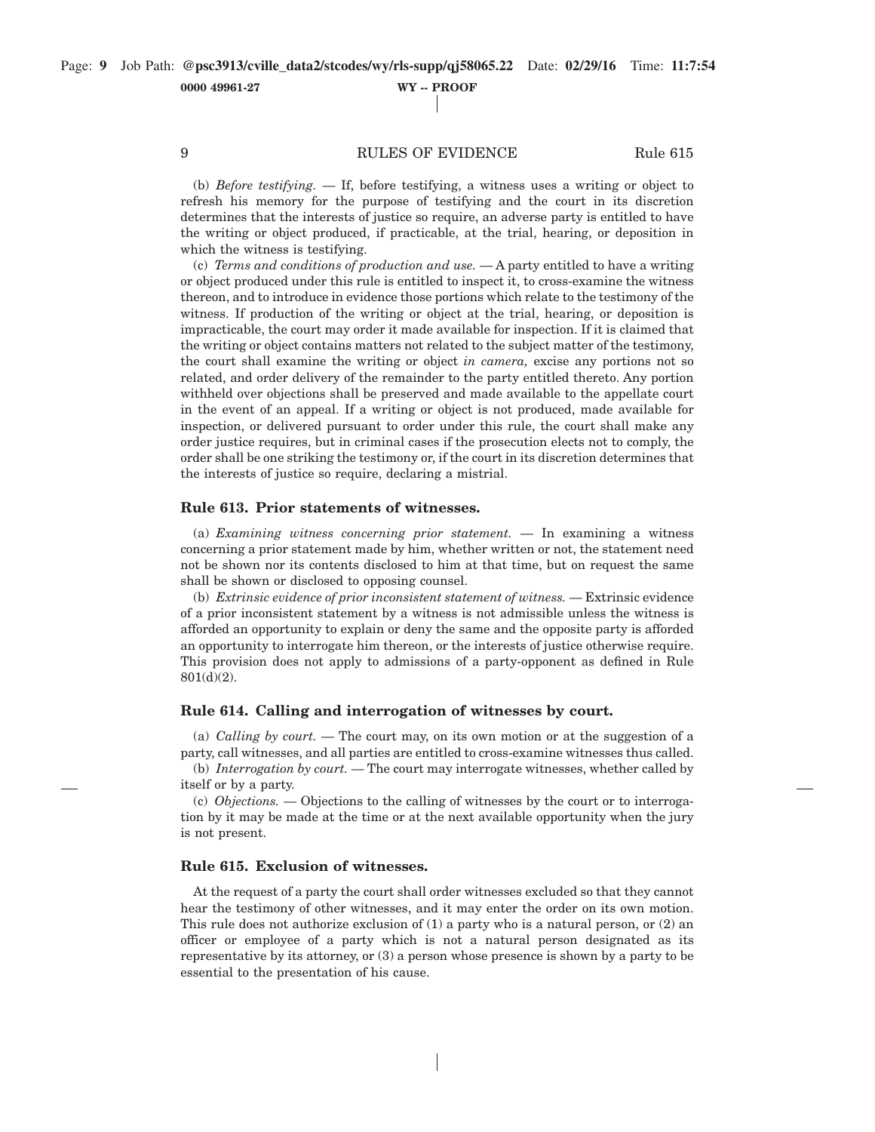(b) *Before testifying.* — If, before testifying, a witness uses a writing or object to refresh his memory for the purpose of testifying and the court in its discretion determines that the interests of justice so require, an adverse party is entitled to have the writing or object produced, if practicable, at the trial, hearing, or deposition in which the witness is testifying.

(c) *Terms and conditions of production and use.* — A party entitled to have a writing or object produced under this rule is entitled to inspect it, to cross-examine the witness thereon, and to introduce in evidence those portions which relate to the testimony of the witness. If production of the writing or object at the trial, hearing, or deposition is impracticable, the court may order it made available for inspection. If it is claimed that the writing or object contains matters not related to the subject matter of the testimony, the court shall examine the writing or object *in camera,* excise any portions not so related, and order delivery of the remainder to the party entitled thereto. Any portion withheld over objections shall be preserved and made available to the appellate court in the event of an appeal. If a writing or object is not produced, made available for inspection, or delivered pursuant to order under this rule, the court shall make any order justice requires, but in criminal cases if the prosecution elects not to comply, the order shall be one striking the testimony or, if the court in its discretion determines that the interests of justice so require, declaring a mistrial.

#### **Rule 613. Prior statements of witnesses.**

(a) *Examining witness concerning prior statement.* — In examining a witness concerning a prior statement made by him, whether written or not, the statement need not be shown nor its contents disclosed to him at that time, but on request the same shall be shown or disclosed to opposing counsel.

(b) *Extrinsic evidence of prior inconsistent statement of witness.* — Extrinsic evidence of a prior inconsistent statement by a witness is not admissible unless the witness is afforded an opportunity to explain or deny the same and the opposite party is afforded an opportunity to interrogate him thereon, or the interests of justice otherwise require. This provision does not apply to admissions of a party-opponent as defined in Rule 801(d)(2).

#### **Rule 614. Calling and interrogation of witnesses by court.**

(a) *Calling by court.* — The court may, on its own motion or at the suggestion of a party, call witnesses, and all parties are entitled to cross-examine witnesses thus called.

(b) *Interrogation by court.* — The court may interrogate witnesses, whether called by itself or by a party.

(c) *Objections.* — Objections to the calling of witnesses by the court or to interrogation by it may be made at the time or at the next available opportunity when the jury is not present.

#### **Rule 615. Exclusion of witnesses.**

At the request of a party the court shall order witnesses excluded so that they cannot hear the testimony of other witnesses, and it may enter the order on its own motion. This rule does not authorize exclusion of  $(1)$  a party who is a natural person, or  $(2)$  an officer or employee of a party which is not a natural person designated as its representative by its attorney, or (3) a person whose presence is shown by a party to be essential to the presentation of his cause.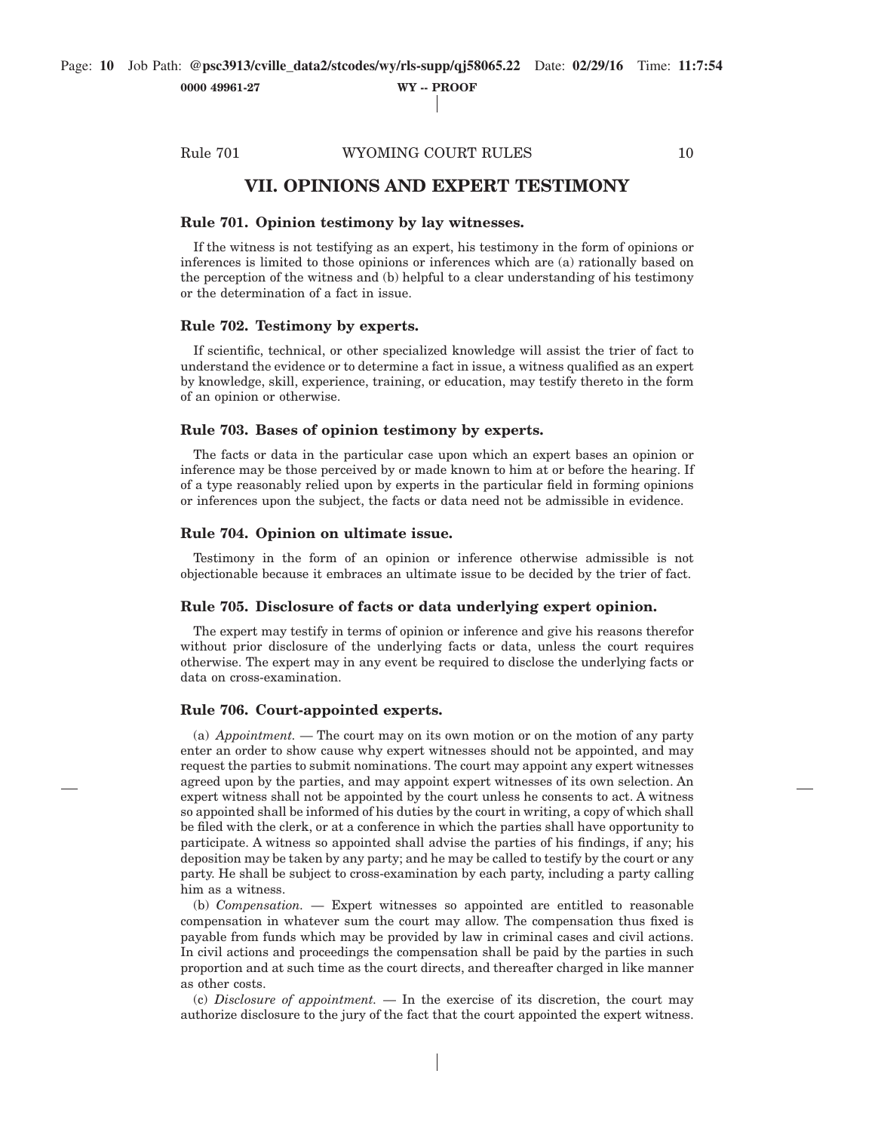Rule 701 WYOMING COURT RULES 10

# **VII. OPINIONS AND EXPERT TESTIMONY**

### **Rule 701. Opinion testimony by lay witnesses.**

If the witness is not testifying as an expert, his testimony in the form of opinions or inferences is limited to those opinions or inferences which are (a) rationally based on the perception of the witness and (b) helpful to a clear understanding of his testimony or the determination of a fact in issue.

#### **Rule 702. Testimony by experts.**

If scientific, technical, or other specialized knowledge will assist the trier of fact to understand the evidence or to determine a fact in issue, a witness qualified as an expert by knowledge, skill, experience, training, or education, may testify thereto in the form of an opinion or otherwise.

#### **Rule 703. Bases of opinion testimony by experts.**

The facts or data in the particular case upon which an expert bases an opinion or inference may be those perceived by or made known to him at or before the hearing. If of a type reasonably relied upon by experts in the particular field in forming opinions or inferences upon the subject, the facts or data need not be admissible in evidence.

#### **Rule 704. Opinion on ultimate issue.**

Testimony in the form of an opinion or inference otherwise admissible is not objectionable because it embraces an ultimate issue to be decided by the trier of fact.

#### **Rule 705. Disclosure of facts or data underlying expert opinion.**

The expert may testify in terms of opinion or inference and give his reasons therefor without prior disclosure of the underlying facts or data, unless the court requires otherwise. The expert may in any event be required to disclose the underlying facts or data on cross-examination.

#### **Rule 706. Court-appointed experts.**

(a) *Appointment.* — The court may on its own motion or on the motion of any party enter an order to show cause why expert witnesses should not be appointed, and may request the parties to submit nominations. The court may appoint any expert witnesses agreed upon by the parties, and may appoint expert witnesses of its own selection. An expert witness shall not be appointed by the court unless he consents to act. A witness so appointed shall be informed of his duties by the court in writing, a copy of which shall be filed with the clerk, or at a conference in which the parties shall have opportunity to participate. A witness so appointed shall advise the parties of his findings, if any; his deposition may be taken by any party; and he may be called to testify by the court or any party. He shall be subject to cross-examination by each party, including a party calling him as a witness.

(b) *Compensation.* — Expert witnesses so appointed are entitled to reasonable compensation in whatever sum the court may allow. The compensation thus fixed is payable from funds which may be provided by law in criminal cases and civil actions. In civil actions and proceedings the compensation shall be paid by the parties in such proportion and at such time as the court directs, and thereafter charged in like manner as other costs.

(c) *Disclosure of appointment.* — In the exercise of its discretion, the court may authorize disclosure to the jury of the fact that the court appointed the expert witness.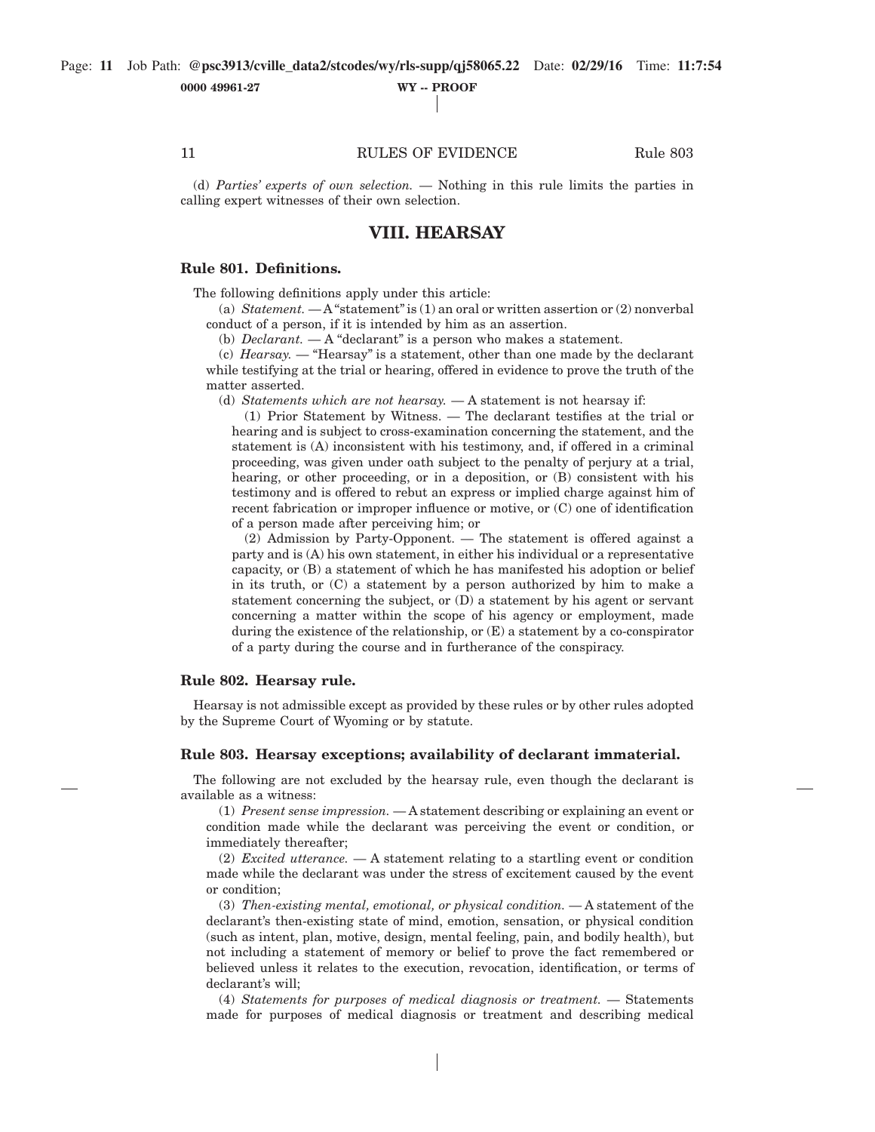(d) *Parties' experts of own selection.* — Nothing in this rule limits the parties in calling expert witnesses of their own selection.

# **VIII. HEARSAY**

#### **Rule 801. Definitions.**

The following definitions apply under this article:

(a) *Statement.*  $-A$  "statement" is (1) an oral or written assertion or (2) nonverbal conduct of a person, if it is intended by him as an assertion.

(b) *Declarant.*  $- A$  "declarant" is a person who makes a statement.

(c) *Hearsay.* — ''Hearsay'' is a statement, other than one made by the declarant while testifying at the trial or hearing, offered in evidence to prove the truth of the matter asserted.

(d) *Statements which are not hearsay.* — A statement is not hearsay if:

(1) Prior Statement by Witness. — The declarant testifies at the trial or hearing and is subject to cross-examination concerning the statement, and the statement is (A) inconsistent with his testimony, and, if offered in a criminal proceeding, was given under oath subject to the penalty of perjury at a trial, hearing, or other proceeding, or in a deposition, or (B) consistent with his testimony and is offered to rebut an express or implied charge against him of recent fabrication or improper influence or motive, or (C) one of identification of a person made after perceiving him; or

(2) Admission by Party-Opponent. — The statement is offered against a party and is (A) his own statement, in either his individual or a representative capacity, or (B) a statement of which he has manifested his adoption or belief in its truth, or (C) a statement by a person authorized by him to make a statement concerning the subject, or (D) a statement by his agent or servant concerning a matter within the scope of his agency or employment, made during the existence of the relationship, or (E) a statement by a co-conspirator of a party during the course and in furtherance of the conspiracy.

#### **Rule 802. Hearsay rule.**

Hearsay is not admissible except as provided by these rules or by other rules adopted by the Supreme Court of Wyoming or by statute.

#### **Rule 803. Hearsay exceptions; availability of declarant immaterial.**

The following are not excluded by the hearsay rule, even though the declarant is available as a witness:

(1) *Present sense impression.* — A statement describing or explaining an event or condition made while the declarant was perceiving the event or condition, or immediately thereafter;

 $(2)$  *Excited utterance.*  $\overline{A}$  A statement relating to a startling event or condition made while the declarant was under the stress of excitement caused by the event or condition;

(3) *Then-existing mental, emotional, or physical condition.* — A statement of the declarant's then-existing state of mind, emotion, sensation, or physical condition (such as intent, plan, motive, design, mental feeling, pain, and bodily health), but not including a statement of memory or belief to prove the fact remembered or believed unless it relates to the execution, revocation, identification, or terms of declarant's will;

(4) *Statements for purposes of medical diagnosis or treatment.* — Statements made for purposes of medical diagnosis or treatment and describing medical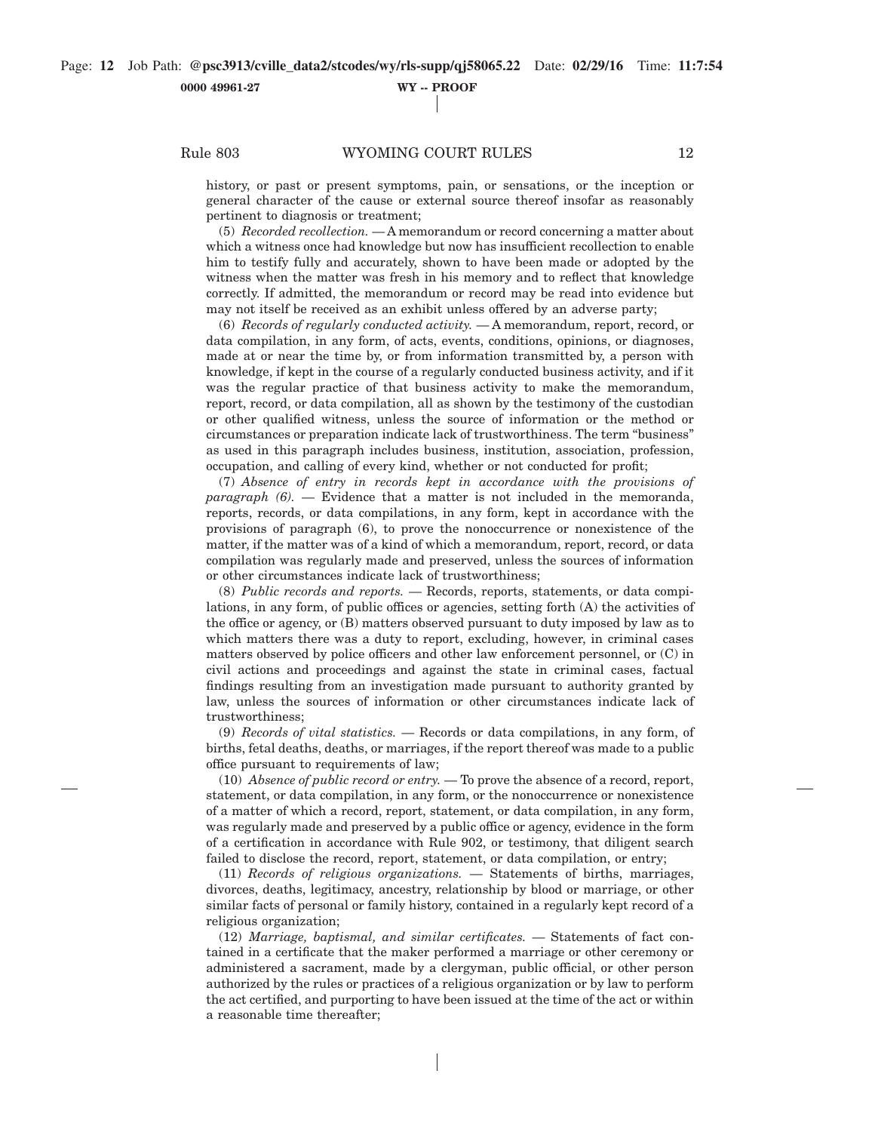#### Rule 803 WYOMING COURT RULES 12

history, or past or present symptoms, pain, or sensations, or the inception or general character of the cause or external source thereof insofar as reasonably pertinent to diagnosis or treatment;

(5) *Recorded recollection.* — A memorandum or record concerning a matter about which a witness once had knowledge but now has insufficient recollection to enable him to testify fully and accurately, shown to have been made or adopted by the witness when the matter was fresh in his memory and to reflect that knowledge correctly. If admitted, the memorandum or record may be read into evidence but may not itself be received as an exhibit unless offered by an adverse party;

(6) *Records of regularly conducted activity.* — A memorandum, report, record, or data compilation, in any form, of acts, events, conditions, opinions, or diagnoses, made at or near the time by, or from information transmitted by, a person with knowledge, if kept in the course of a regularly conducted business activity, and if it was the regular practice of that business activity to make the memorandum, report, record, or data compilation, all as shown by the testimony of the custodian or other qualified witness, unless the source of information or the method or circumstances or preparation indicate lack of trustworthiness. The term ''business'' as used in this paragraph includes business, institution, association, profession, occupation, and calling of every kind, whether or not conducted for profit;

(7) *Absence of entry in records kept in accordance with the provisions of paragraph (6).* — Evidence that a matter is not included in the memoranda, reports, records, or data compilations, in any form, kept in accordance with the provisions of paragraph (6), to prove the nonoccurrence or nonexistence of the matter, if the matter was of a kind of which a memorandum, report, record, or data compilation was regularly made and preserved, unless the sources of information or other circumstances indicate lack of trustworthiness;

(8) *Public records and reports.* — Records, reports, statements, or data compilations, in any form, of public offices or agencies, setting forth (A) the activities of the office or agency, or (B) matters observed pursuant to duty imposed by law as to which matters there was a duty to report, excluding, however, in criminal cases matters observed by police officers and other law enforcement personnel, or (C) in civil actions and proceedings and against the state in criminal cases, factual findings resulting from an investigation made pursuant to authority granted by law, unless the sources of information or other circumstances indicate lack of trustworthiness;

(9) *Records of vital statistics.* — Records or data compilations, in any form, of births, fetal deaths, deaths, or marriages, if the report thereof was made to a public office pursuant to requirements of law;

(10) *Absence of public record or entry.* — To prove the absence of a record, report, statement, or data compilation, in any form, or the nonoccurrence or nonexistence of a matter of which a record, report, statement, or data compilation, in any form, was regularly made and preserved by a public office or agency, evidence in the form of a certification in accordance with Rule 902, or testimony, that diligent search failed to disclose the record, report, statement, or data compilation, or entry;

(11) *Records of religious organizations.* — Statements of births, marriages, divorces, deaths, legitimacy, ancestry, relationship by blood or marriage, or other similar facts of personal or family history, contained in a regularly kept record of a religious organization;

(12) *Marriage, baptismal, and similar certificates.* — Statements of fact contained in a certificate that the maker performed a marriage or other ceremony or administered a sacrament, made by a clergyman, public official, or other person authorized by the rules or practices of a religious organization or by law to perform the act certified, and purporting to have been issued at the time of the act or within a reasonable time thereafter;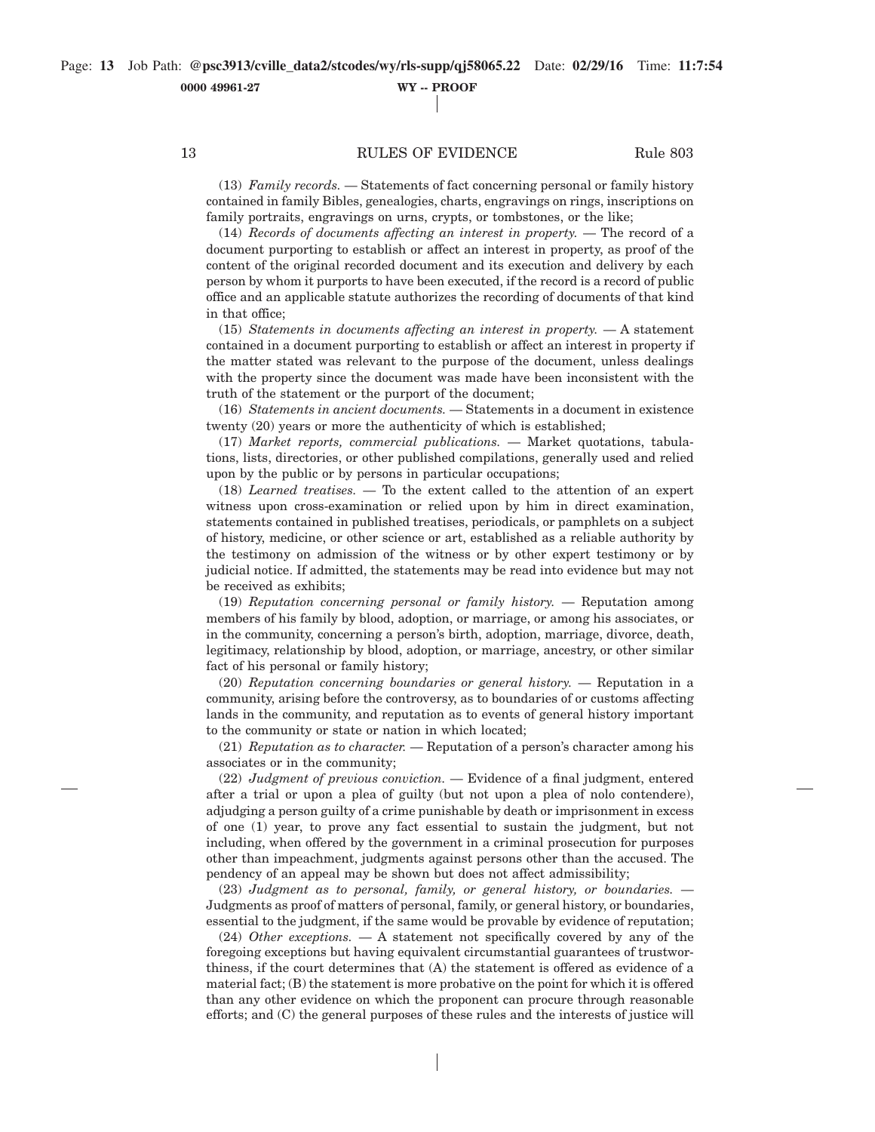(13) *Family records.* — Statements of fact concerning personal or family history contained in family Bibles, genealogies, charts, engravings on rings, inscriptions on family portraits, engravings on urns, crypts, or tombstones, or the like;

(14) *Records of documents affecting an interest in property.* — The record of a document purporting to establish or affect an interest in property, as proof of the content of the original recorded document and its execution and delivery by each person by whom it purports to have been executed, if the record is a record of public office and an applicable statute authorizes the recording of documents of that kind in that office;

(15) *Statements in documents affecting an interest in property.* — A statement contained in a document purporting to establish or affect an interest in property if the matter stated was relevant to the purpose of the document, unless dealings with the property since the document was made have been inconsistent with the truth of the statement or the purport of the document;

(16) *Statements in ancient documents.* — Statements in a document in existence twenty (20) years or more the authenticity of which is established;

(17) *Market reports, commercial publications.* — Market quotations, tabulations, lists, directories, or other published compilations, generally used and relied upon by the public or by persons in particular occupations;

(18) *Learned treatises.* — To the extent called to the attention of an expert witness upon cross-examination or relied upon by him in direct examination, statements contained in published treatises, periodicals, or pamphlets on a subject of history, medicine, or other science or art, established as a reliable authority by the testimony on admission of the witness or by other expert testimony or by judicial notice. If admitted, the statements may be read into evidence but may not be received as exhibits;

(19) *Reputation concerning personal or family history.* — Reputation among members of his family by blood, adoption, or marriage, or among his associates, or in the community, concerning a person's birth, adoption, marriage, divorce, death, legitimacy, relationship by blood, adoption, or marriage, ancestry, or other similar fact of his personal or family history;

(20) *Reputation concerning boundaries or general history.* — Reputation in a community, arising before the controversy, as to boundaries of or customs affecting lands in the community, and reputation as to events of general history important to the community or state or nation in which located;

(21) *Reputation as to character.* — Reputation of a person's character among his associates or in the community;

(22) *Judgment of previous conviction.* — Evidence of a final judgment, entered after a trial or upon a plea of guilty (but not upon a plea of nolo contendere), adjudging a person guilty of a crime punishable by death or imprisonment in excess of one (1) year, to prove any fact essential to sustain the judgment, but not including, when offered by the government in a criminal prosecution for purposes other than impeachment, judgments against persons other than the accused. The pendency of an appeal may be shown but does not affect admissibility;

(23) *Judgment as to personal, family, or general history, or boundaries.* — Judgments as proof of matters of personal, family, or general history, or boundaries, essential to the judgment, if the same would be provable by evidence of reputation;

(24) *Other exceptions.* — A statement not specifically covered by any of the foregoing exceptions but having equivalent circumstantial guarantees of trustworthiness, if the court determines that (A) the statement is offered as evidence of a material fact; (B) the statement is more probative on the point for which it is offered than any other evidence on which the proponent can procure through reasonable efforts; and (C) the general purposes of these rules and the interests of justice will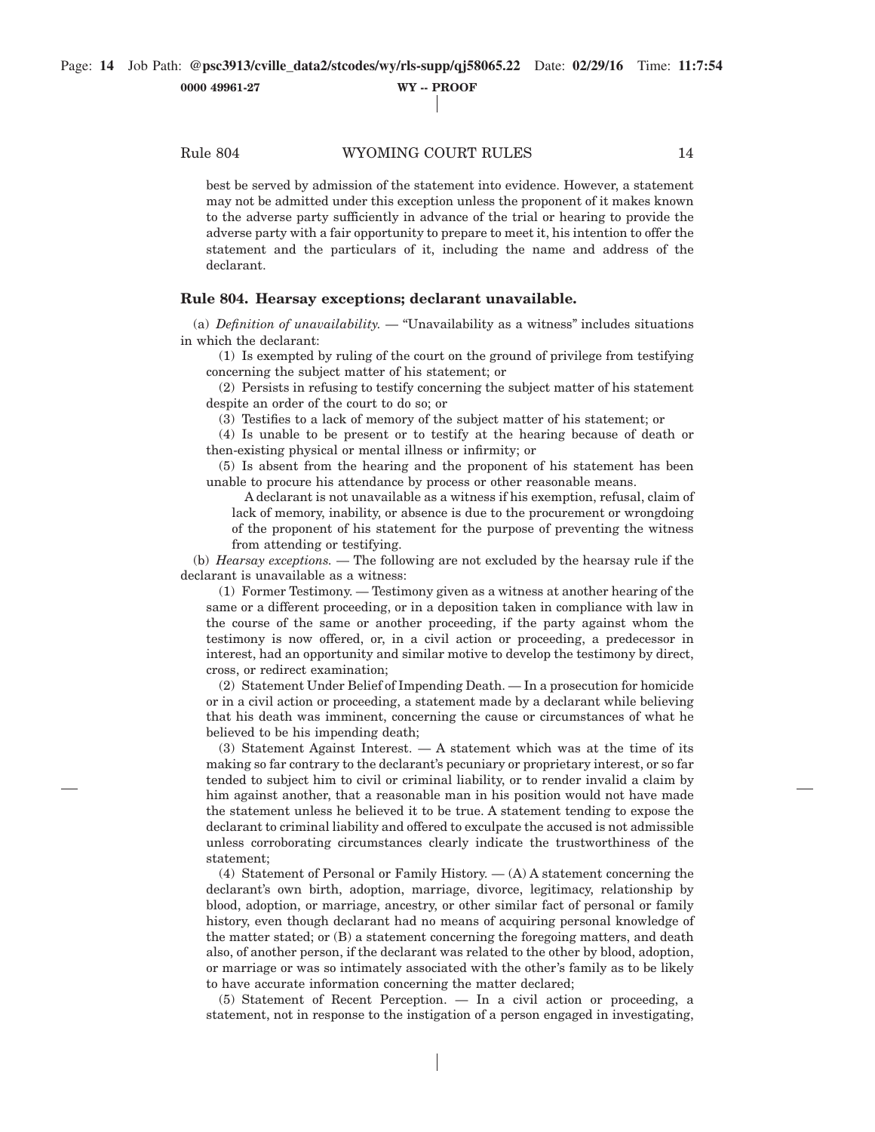# Rule 804 WYOMING COURT RULES 14

best be served by admission of the statement into evidence. However, a statement may not be admitted under this exception unless the proponent of it makes known to the adverse party sufficiently in advance of the trial or hearing to provide the adverse party with a fair opportunity to prepare to meet it, his intention to offer the statement and the particulars of it, including the name and address of the declarant.

### **Rule 804. Hearsay exceptions; declarant unavailable.**

(a) *Definition of unavailability.*  $-$  "Unavailability as a witness" includes situations in which the declarant:

(1) Is exempted by ruling of the court on the ground of privilege from testifying concerning the subject matter of his statement; or

(2) Persists in refusing to testify concerning the subject matter of his statement despite an order of the court to do so; or

(3) Testifies to a lack of memory of the subject matter of his statement; or

(4) Is unable to be present or to testify at the hearing because of death or then-existing physical or mental illness or infirmity; or

(5) Is absent from the hearing and the proponent of his statement has been unable to procure his attendance by process or other reasonable means.

A declarant is not unavailable as a witness if his exemption, refusal, claim of lack of memory, inability, or absence is due to the procurement or wrongdoing of the proponent of his statement for the purpose of preventing the witness from attending or testifying.

(b) *Hearsay exceptions.* — The following are not excluded by the hearsay rule if the declarant is unavailable as a witness:

(1) Former Testimony. — Testimony given as a witness at another hearing of the same or a different proceeding, or in a deposition taken in compliance with law in the course of the same or another proceeding, if the party against whom the testimony is now offered, or, in a civil action or proceeding, a predecessor in interest, had an opportunity and similar motive to develop the testimony by direct, cross, or redirect examination;

(2) Statement Under Belief of Impending Death. — In a prosecution for homicide or in a civil action or proceeding, a statement made by a declarant while believing that his death was imminent, concerning the cause or circumstances of what he believed to be his impending death;

(3) Statement Against Interest. — A statement which was at the time of its making so far contrary to the declarant's pecuniary or proprietary interest, or so far tended to subject him to civil or criminal liability, or to render invalid a claim by him against another, that a reasonable man in his position would not have made the statement unless he believed it to be true. A statement tending to expose the declarant to criminal liability and offered to exculpate the accused is not admissible unless corroborating circumstances clearly indicate the trustworthiness of the statement;

(4) Statement of Personal or Family History. — (A) A statement concerning the declarant's own birth, adoption, marriage, divorce, legitimacy, relationship by blood, adoption, or marriage, ancestry, or other similar fact of personal or family history, even though declarant had no means of acquiring personal knowledge of the matter stated; or (B) a statement concerning the foregoing matters, and death also, of another person, if the declarant was related to the other by blood, adoption, or marriage or was so intimately associated with the other's family as to be likely to have accurate information concerning the matter declared;

(5) Statement of Recent Perception. — In a civil action or proceeding, a statement, not in response to the instigation of a person engaged in investigating,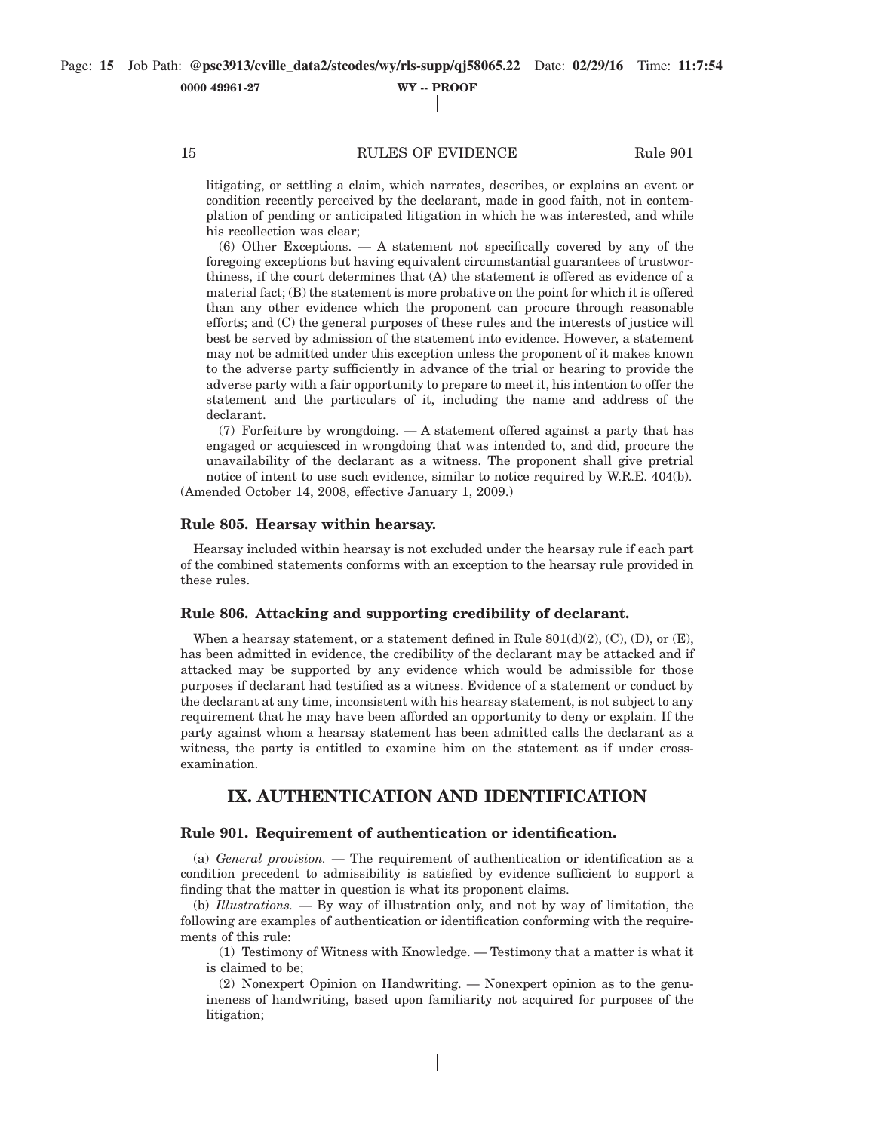litigating, or settling a claim, which narrates, describes, or explains an event or condition recently perceived by the declarant, made in good faith, not in contemplation of pending or anticipated litigation in which he was interested, and while his recollection was clear;

(6) Other Exceptions. — A statement not specifically covered by any of the foregoing exceptions but having equivalent circumstantial guarantees of trustworthiness, if the court determines that (A) the statement is offered as evidence of a material fact; (B) the statement is more probative on the point for which it is offered than any other evidence which the proponent can procure through reasonable efforts; and (C) the general purposes of these rules and the interests of justice will best be served by admission of the statement into evidence. However, a statement may not be admitted under this exception unless the proponent of it makes known to the adverse party sufficiently in advance of the trial or hearing to provide the adverse party with a fair opportunity to prepare to meet it, his intention to offer the statement and the particulars of it, including the name and address of the declarant.

(7) Forfeiture by wrongdoing. — A statement offered against a party that has engaged or acquiesced in wrongdoing that was intended to, and did, procure the unavailability of the declarant as a witness. The proponent shall give pretrial notice of intent to use such evidence, similar to notice required by W.R.E. 404(b).

(Amended October 14, 2008, effective January 1, 2009.)

# **Rule 805. Hearsay within hearsay.**

Hearsay included within hearsay is not excluded under the hearsay rule if each part of the combined statements conforms with an exception to the hearsay rule provided in these rules.

## **Rule 806. Attacking and supporting credibility of declarant.**

When a hearsay statement, or a statement defined in Rule  $801(d)(2)$ , (C), (D), or (E), has been admitted in evidence, the credibility of the declarant may be attacked and if attacked may be supported by any evidence which would be admissible for those purposes if declarant had testified as a witness. Evidence of a statement or conduct by the declarant at any time, inconsistent with his hearsay statement, is not subject to any requirement that he may have been afforded an opportunity to deny or explain. If the party against whom a hearsay statement has been admitted calls the declarant as a witness, the party is entitled to examine him on the statement as if under crossexamination.

# **IX. AUTHENTICATION AND IDENTIFICATION**

## **Rule 901. Requirement of authentication or identification.**

(a) *General provision.* — The requirement of authentication or identification as a condition precedent to admissibility is satisfied by evidence sufficient to support a finding that the matter in question is what its proponent claims.

(b) *Illustrations.* — By way of illustration only, and not by way of limitation, the following are examples of authentication or identification conforming with the requirements of this rule:

(1) Testimony of Witness with Knowledge. — Testimony that a matter is what it is claimed to be;

(2) Nonexpert Opinion on Handwriting. — Nonexpert opinion as to the genuineness of handwriting, based upon familiarity not acquired for purposes of the litigation;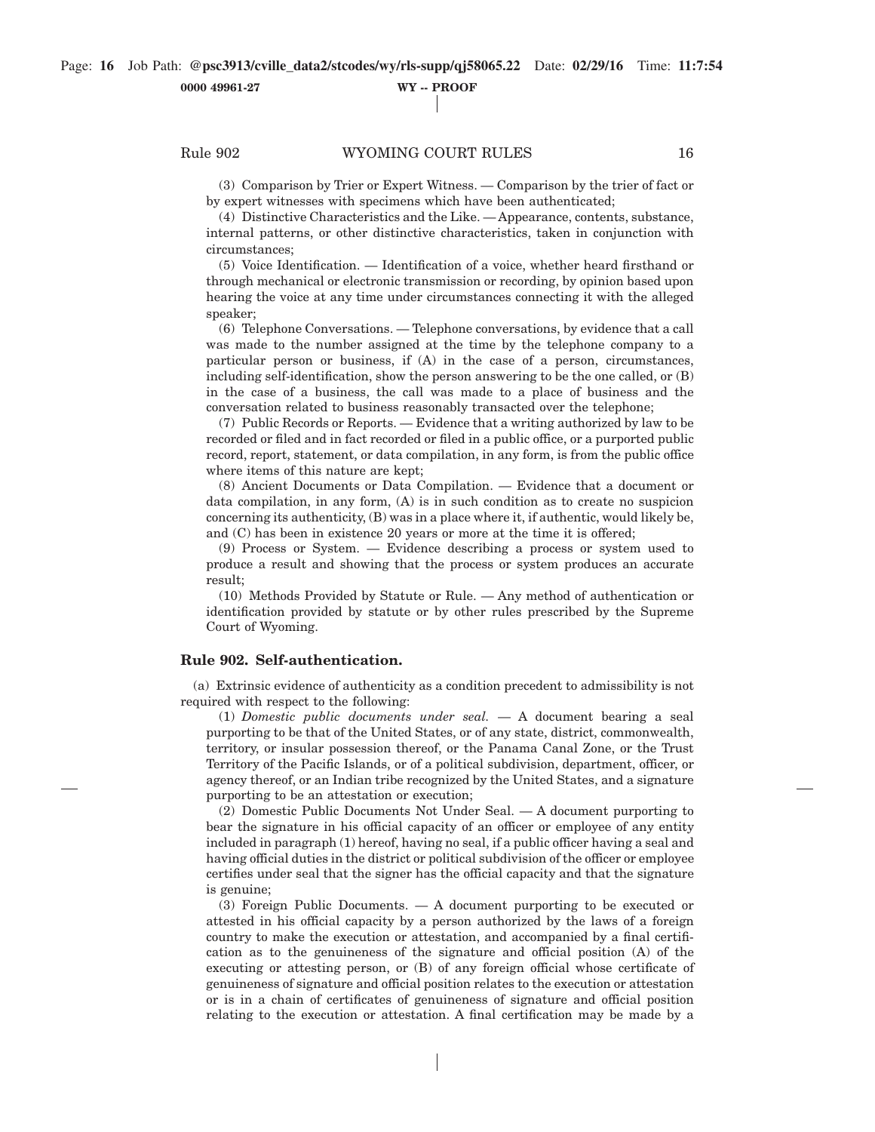#### Rule 902 WYOMING COURT RULES 16

(3) Comparison by Trier or Expert Witness. — Comparison by the trier of fact or by expert witnesses with specimens which have been authenticated;

(4) Distinctive Characteristics and the Like. — Appearance, contents, substance, internal patterns, or other distinctive characteristics, taken in conjunction with circumstances;

(5) Voice Identification. — Identification of a voice, whether heard firsthand or through mechanical or electronic transmission or recording, by opinion based upon hearing the voice at any time under circumstances connecting it with the alleged speaker;

(6) Telephone Conversations. — Telephone conversations, by evidence that a call was made to the number assigned at the time by the telephone company to a particular person or business, if (A) in the case of a person, circumstances, including self-identification, show the person answering to be the one called, or (B) in the case of a business, the call was made to a place of business and the conversation related to business reasonably transacted over the telephone;

(7) Public Records or Reports. — Evidence that a writing authorized by law to be recorded or filed and in fact recorded or filed in a public office, or a purported public record, report, statement, or data compilation, in any form, is from the public office where items of this nature are kept;

(8) Ancient Documents or Data Compilation. — Evidence that a document or data compilation, in any form, (A) is in such condition as to create no suspicion concerning its authenticity, (B) was in a place where it, if authentic, would likely be, and (C) has been in existence 20 years or more at the time it is offered;

(9) Process or System. — Evidence describing a process or system used to produce a result and showing that the process or system produces an accurate result;

(10) Methods Provided by Statute or Rule. — Any method of authentication or identification provided by statute or by other rules prescribed by the Supreme Court of Wyoming.

#### **Rule 902. Self-authentication.**

(a) Extrinsic evidence of authenticity as a condition precedent to admissibility is not required with respect to the following:

(1) *Domestic public documents under seal.* — A document bearing a seal purporting to be that of the United States, or of any state, district, commonwealth, territory, or insular possession thereof, or the Panama Canal Zone, or the Trust Territory of the Pacific Islands, or of a political subdivision, department, officer, or agency thereof, or an Indian tribe recognized by the United States, and a signature purporting to be an attestation or execution;

(2) Domestic Public Documents Not Under Seal. — A document purporting to bear the signature in his official capacity of an officer or employee of any entity included in paragraph (1) hereof, having no seal, if a public officer having a seal and having official duties in the district or political subdivision of the officer or employee certifies under seal that the signer has the official capacity and that the signature is genuine;

(3) Foreign Public Documents. — A document purporting to be executed or attested in his official capacity by a person authorized by the laws of a foreign country to make the execution or attestation, and accompanied by a final certification as to the genuineness of the signature and official position (A) of the executing or attesting person, or (B) of any foreign official whose certificate of genuineness of signature and official position relates to the execution or attestation or is in a chain of certificates of genuineness of signature and official position relating to the execution or attestation. A final certification may be made by a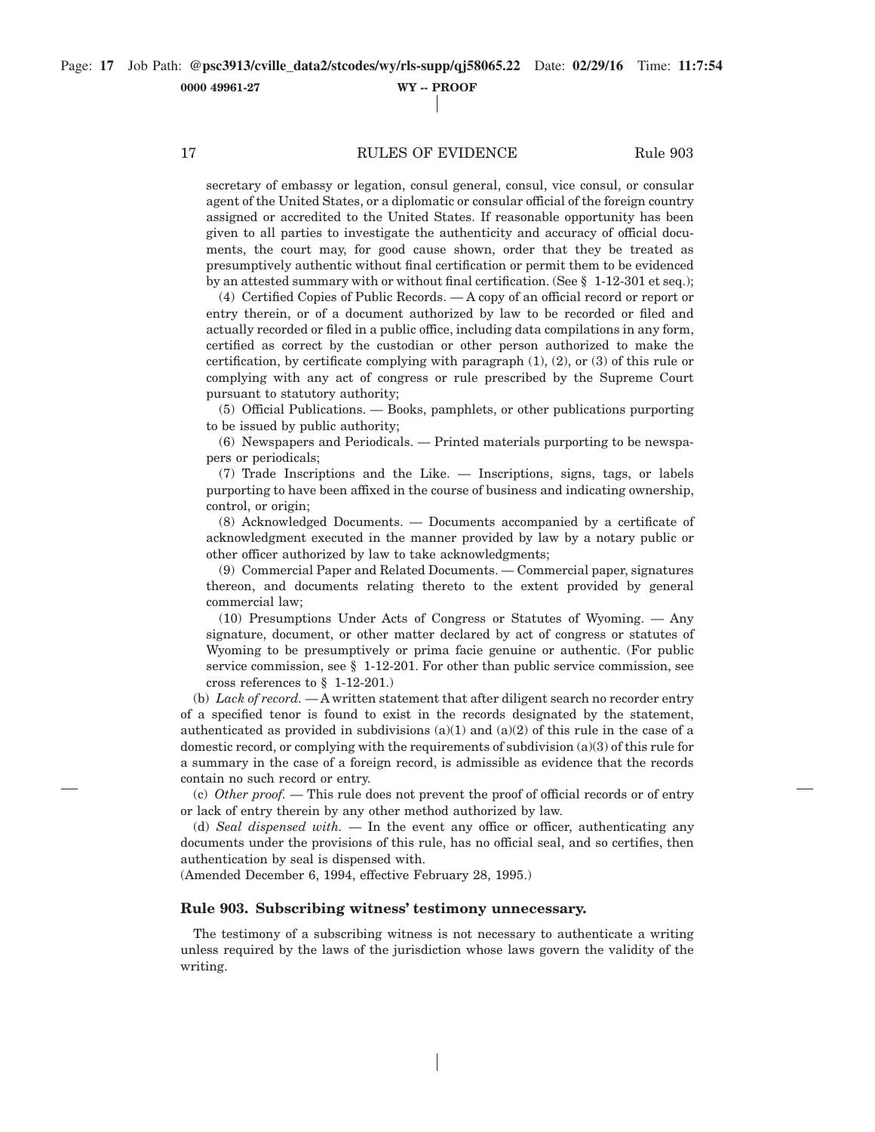secretary of embassy or legation, consul general, consul, vice consul, or consular agent of the United States, or a diplomatic or consular official of the foreign country assigned or accredited to the United States. If reasonable opportunity has been given to all parties to investigate the authenticity and accuracy of official documents, the court may, for good cause shown, order that they be treated as presumptively authentic without final certification or permit them to be evidenced by an attested summary with or without final certification. (See § 1-12-301 et seq.);

(4) Certified Copies of Public Records. — A copy of an official record or report or entry therein, or of a document authorized by law to be recorded or filed and actually recorded or filed in a public office, including data compilations in any form, certified as correct by the custodian or other person authorized to make the certification, by certificate complying with paragraph  $(1)$ ,  $(2)$ , or  $(3)$  of this rule or complying with any act of congress or rule prescribed by the Supreme Court pursuant to statutory authority;

(5) Official Publications. — Books, pamphlets, or other publications purporting to be issued by public authority;

(6) Newspapers and Periodicals. — Printed materials purporting to be newspapers or periodicals;

(7) Trade Inscriptions and the Like. — Inscriptions, signs, tags, or labels purporting to have been affixed in the course of business and indicating ownership, control, or origin;

(8) Acknowledged Documents. — Documents accompanied by a certificate of acknowledgment executed in the manner provided by law by a notary public or other officer authorized by law to take acknowledgments;

(9) Commercial Paper and Related Documents. — Commercial paper, signatures thereon, and documents relating thereto to the extent provided by general commercial law;

(10) Presumptions Under Acts of Congress or Statutes of Wyoming. — Any signature, document, or other matter declared by act of congress or statutes of Wyoming to be presumptively or prima facie genuine or authentic. (For public service commission, see § 1-12-201. For other than public service commission, see cross references to § 1-12-201.)

(b) *Lack of record.* — A written statement that after diligent search no recorder entry of a specified tenor is found to exist in the records designated by the statement, authenticated as provided in subdivisions  $(a)(1)$  and  $(a)(2)$  of this rule in the case of a domestic record, or complying with the requirements of subdivision (a)(3) of this rule for a summary in the case of a foreign record, is admissible as evidence that the records contain no such record or entry.

(c) *Other proof.* — This rule does not prevent the proof of official records or of entry or lack of entry therein by any other method authorized by law.

(d) *Seal dispensed with.* — In the event any office or officer, authenticating any documents under the provisions of this rule, has no official seal, and so certifies, then authentication by seal is dispensed with.

(Amended December 6, 1994, effective February 28, 1995.)

#### **Rule 903. Subscribing witness' testimony unnecessary.**

The testimony of a subscribing witness is not necessary to authenticate a writing unless required by the laws of the jurisdiction whose laws govern the validity of the writing.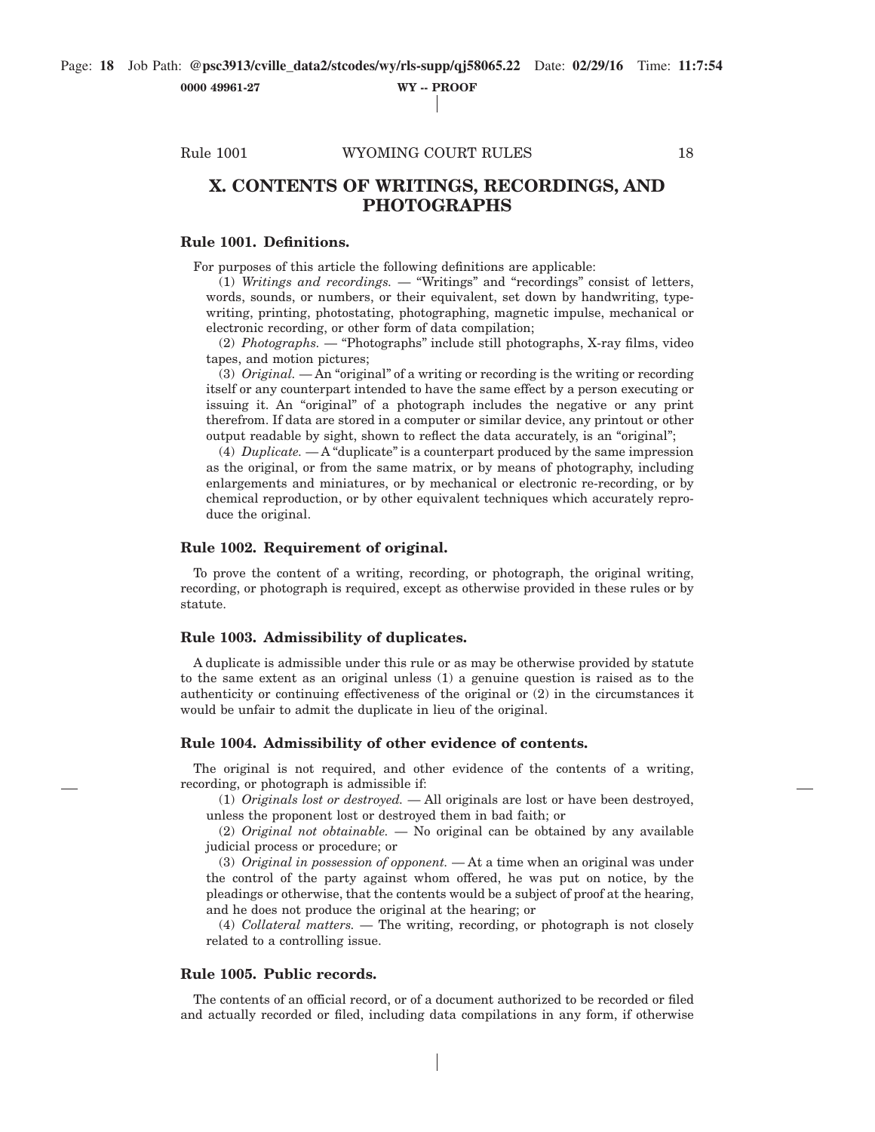# Rule 1001 WYOMING COURT RULES 18

# **X. CONTENTS OF WRITINGS, RECORDINGS, AND PHOTOGRAPHS**

#### **Rule 1001. Definitions.**

For purposes of this article the following definitions are applicable:

(1) *Writings and recordings.* — ''Writings'' and ''recordings'' consist of letters, words, sounds, or numbers, or their equivalent, set down by handwriting, typewriting, printing, photostating, photographing, magnetic impulse, mechanical or electronic recording, or other form of data compilation;

(2) *Photographs.* — ''Photographs'' include still photographs, X-ray films, video tapes, and motion pictures;

 $(3)$  *Original.* — An "original" of a writing or recording is the writing or recording itself or any counterpart intended to have the same effect by a person executing or issuing it. An "original" of a photograph includes the negative or any print therefrom. If data are stored in a computer or similar device, any printout or other output readable by sight, shown to reflect the data accurately, is an "original";

(4) *Duplicate.*  $-A$  "duplicate" is a counterpart produced by the same impression as the original, or from the same matrix, or by means of photography, including enlargements and miniatures, or by mechanical or electronic re-recording, or by chemical reproduction, or by other equivalent techniques which accurately reproduce the original.

#### **Rule 1002. Requirement of original.**

To prove the content of a writing, recording, or photograph, the original writing, recording, or photograph is required, except as otherwise provided in these rules or by statute.

#### **Rule 1003. Admissibility of duplicates.**

A duplicate is admissible under this rule or as may be otherwise provided by statute to the same extent as an original unless (1) a genuine question is raised as to the authenticity or continuing effectiveness of the original or (2) in the circumstances it would be unfair to admit the duplicate in lieu of the original.

#### **Rule 1004. Admissibility of other evidence of contents.**

The original is not required, and other evidence of the contents of a writing, recording, or photograph is admissible if:

(1) *Originals lost or destroyed.* — All originals are lost or have been destroyed, unless the proponent lost or destroyed them in bad faith; or

(2) *Original not obtainable.* — No original can be obtained by any available judicial process or procedure; or

(3) *Original in possession of opponent.* — At a time when an original was under the control of the party against whom offered, he was put on notice, by the pleadings or otherwise, that the contents would be a subject of proof at the hearing, and he does not produce the original at the hearing; or

(4) *Collateral matters.* — The writing, recording, or photograph is not closely related to a controlling issue.

# **Rule 1005. Public records.**

The contents of an official record, or of a document authorized to be recorded or filed and actually recorded or filed, including data compilations in any form, if otherwise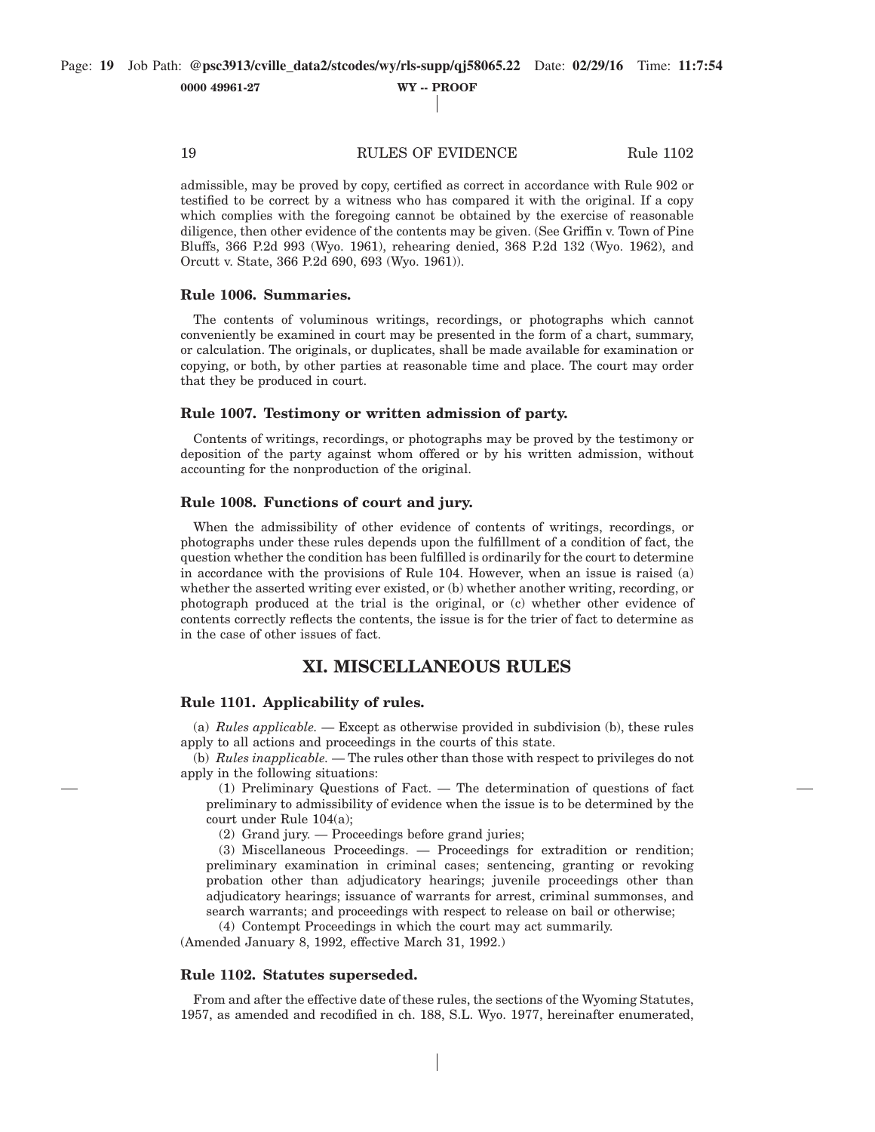admissible, may be proved by copy, certified as correct in accordance with Rule 902 or testified to be correct by a witness who has compared it with the original. If a copy which complies with the foregoing cannot be obtained by the exercise of reasonable diligence, then other evidence of the contents may be given. (See Griffin v. Town of Pine Bluffs, 366 P.2d 993 (Wyo. 1961), rehearing denied, 368 P.2d 132 (Wyo. 1962), and Orcutt v. State, 366 P.2d 690, 693 (Wyo. 1961)).

#### **Rule 1006. Summaries.**

The contents of voluminous writings, recordings, or photographs which cannot conveniently be examined in court may be presented in the form of a chart, summary, or calculation. The originals, or duplicates, shall be made available for examination or copying, or both, by other parties at reasonable time and place. The court may order that they be produced in court.

#### **Rule 1007. Testimony or written admission of party.**

Contents of writings, recordings, or photographs may be proved by the testimony or deposition of the party against whom offered or by his written admission, without accounting for the nonproduction of the original.

### **Rule 1008. Functions of court and jury.**

When the admissibility of other evidence of contents of writings, recordings, or photographs under these rules depends upon the fulfillment of a condition of fact, the question whether the condition has been fulfilled is ordinarily for the court to determine in accordance with the provisions of Rule 104. However, when an issue is raised (a) whether the asserted writing ever existed, or (b) whether another writing, recording, or photograph produced at the trial is the original, or (c) whether other evidence of contents correctly reflects the contents, the issue is for the trier of fact to determine as in the case of other issues of fact.

# **XI. MISCELLANEOUS RULES**

#### **Rule 1101. Applicability of rules.**

(a) *Rules applicable.* — Except as otherwise provided in subdivision (b), these rules apply to all actions and proceedings in the courts of this state.

(b) *Rules inapplicable.* — The rules other than those with respect to privileges do not apply in the following situations:

(1) Preliminary Questions of Fact. — The determination of questions of fact preliminary to admissibility of evidence when the issue is to be determined by the court under Rule 104(a);

(2) Grand jury. — Proceedings before grand juries;

(3) Miscellaneous Proceedings. — Proceedings for extradition or rendition; preliminary examination in criminal cases; sentencing, granting or revoking probation other than adjudicatory hearings; juvenile proceedings other than adjudicatory hearings; issuance of warrants for arrest, criminal summonses, and search warrants; and proceedings with respect to release on bail or otherwise;

(4) Contempt Proceedings in which the court may act summarily. (Amended January 8, 1992, effective March 31, 1992.)

#### **Rule 1102. Statutes superseded.**

From and after the effective date of these rules, the sections of the Wyoming Statutes, 1957, as amended and recodified in ch. 188, S.L. Wyo. 1977, hereinafter enumerated,